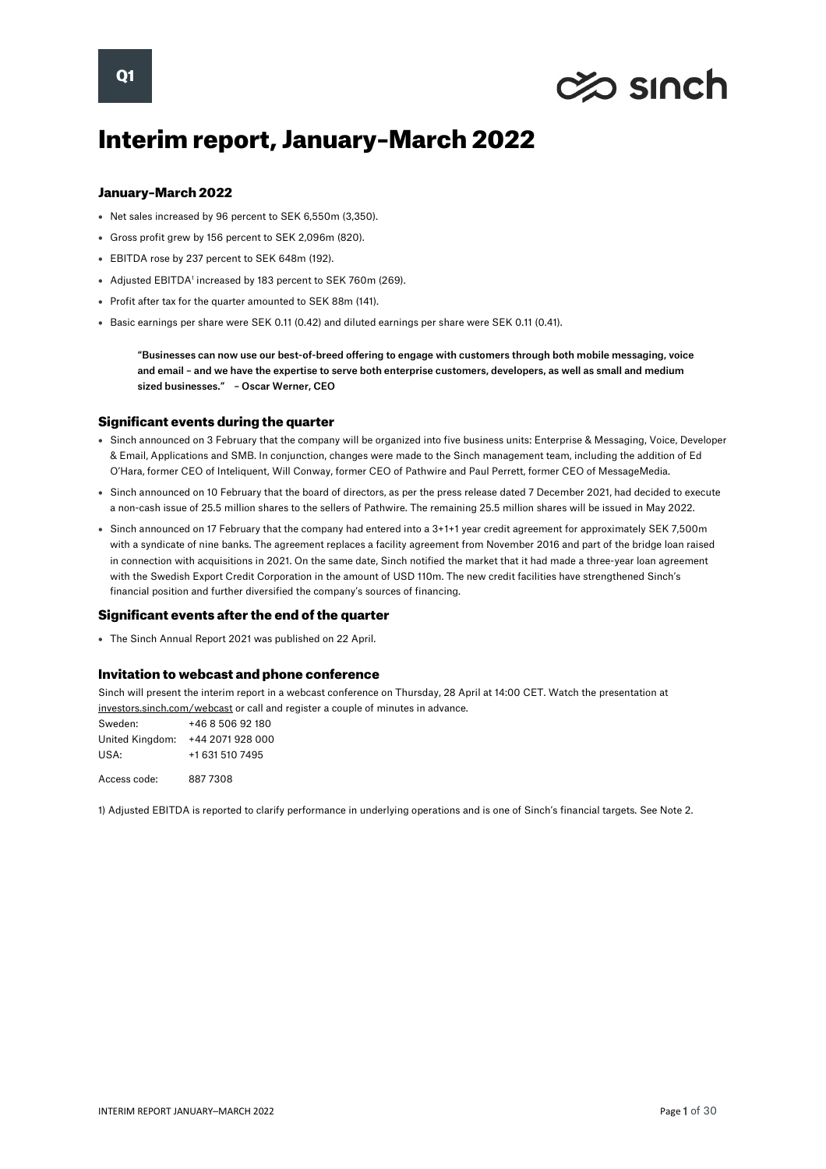

# Interim report, January–March 2022

## January–March 2022

- Net sales increased by 96 percent to SEK 6,550m (3,350).
- Gross profit grew by 156 percent to SEK 2,096m (820).
- EBITDA rose by 237 percent to SEK 648m (192).
- Adjusted EBITDA<sup>1</sup> increased by 183 percent to SEK 760m (269).
- Profit after tax for the quarter amounted to SEK 88m (141).
- Basic earnings per share were SEK 0.11 (0.42) and diluted earnings per share were SEK 0.11 (0.41).

"Businesses can now use our best-of-breed offering to engage with customers through both mobile messaging, voice and email – and we have the expertise to serve both enterprise customers, developers, as well as small and medium sized businesses." – Oscar Werner, CEO

#### Significant events during the quarter

- [Sinch announced](https://investors.sinch.com/sv/news-releases/news-release-details/sinch-infor-ny-verksamhetsmodell-och-forandrar-ledningsgruppen) on 3 February that the company will be organized into five business units: Enterprise & Messaging, Voice, Developer & Email, Applications and SMB. In conjunction, changes were made to the Sinch management team, including the addition of Ed O'Hara, former CEO of Inteliquent, Will Conway, former CEO of Pathwire and Paul Perrett, former CEO of MessageMedia.
- Sinch announced on 10 February that the board of directors, as per the press release dated 7 December 2021, had decided to execute a non-cash issue of 25.5 million shares to the sellers of Pathwire. The remaining 25.5 million shares will be issued in May 2022.
- Sinch announced on 17 February that the company had entered into a 3+1+1 year credit agreement for approximately SEK 7,500m with a syndicate of nine banks. The agreement replaces a facility agreement from November 2016 and part of the bridge loan raised in connection with acquisitions in 2021. On the same date, Sinch notified the market that it had made a three-year loan agreement with the Swedish Export Credit Corporation in the amount of USD 110m. The new credit facilities have strengthened Sinch's financial position and further diversified the company's sources of financing.

# Significant events after the end of the quarter

• The Sinch Annual Report 2021 was published on 22 April.

### Invitation to webcast and phone conference

Sinch will present the interim report in a webcast conference on Thursday, 28 April at 14:00 CET. Watch the presentation at [investors.sinch.com/webcast](https://investors.sinch.com/webcast) or call and register a couple of minutes in advance.

| Sweden:         | +46 8 506 92 180 |
|-----------------|------------------|
| United Kingdom: | +44 2071 928 000 |
| USA:            | +1 631 510 7495  |
|                 |                  |

Access code: 887 7308

1) Adjusted EBITDA is reported to clarify performance in underlying operations and is one of Sinch's financial targets. See Note 2.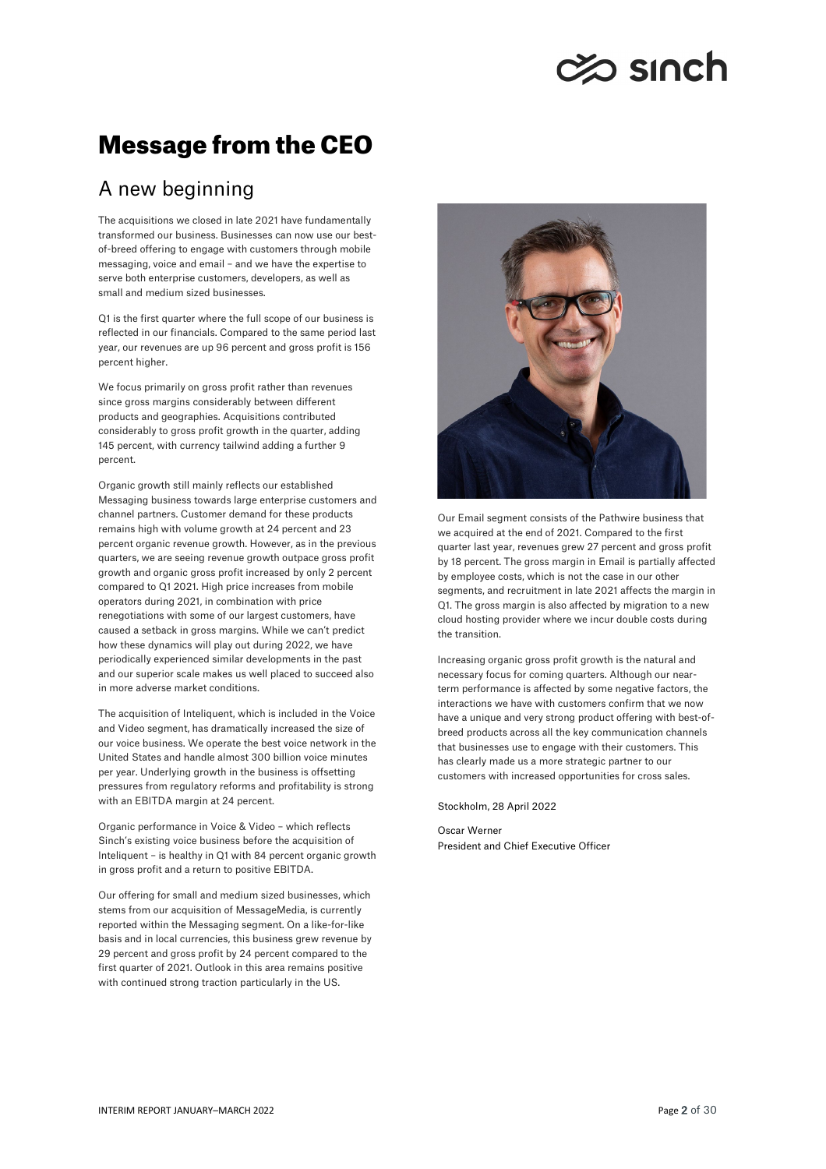# **Zo sinch**

# Message from the CEO

# A new beginning

The acquisitions we closed in late 2021 have fundamentally transformed our business. Businesses can now use our bestof-breed offering to engage with customers through mobile messaging, voice and email – and we have the expertise to serve both enterprise customers, developers, as well as small and medium sized businesses.

Q1 is the first quarter where the full scope of our business is reflected in our financials. Compared to the same period last year, our revenues are up 96 percent and gross profit is 156 percent higher.

We focus primarily on gross profit rather than revenues since gross margins considerably between different products and geographies. Acquisitions contributed considerably to gross profit growth in the quarter, adding 145 percent, with currency tailwind adding a further 9 percent.

Organic growth still mainly reflects our established Messaging business towards large enterprise customers and channel partners. Customer demand for these products remains high with volume growth at 24 percent and 23 percent organic revenue growth. However, as in the previous quarters, we are seeing revenue growth outpace gross profit growth and organic gross profit increased by only 2 percent compared to Q1 2021. High price increases from mobile operators during 2021, in combination with price renegotiations with some of our largest customers, have caused a setback in gross margins. While we can't predict how these dynamics will play out during 2022, we have periodically experienced similar developments in the past and our superior scale makes us well placed to succeed also in more adverse market conditions.

The acquisition of Inteliquent, which is included in the Voice and Video segment, has dramatically increased the size of our voice business. We operate the best voice network in the United States and handle almost 300 billion voice minutes per year. Underlying growth in the business is offsetting pressures from regulatory reforms and profitability is strong with an EBITDA margin at 24 percent.

Organic performance in Voice & Video – which reflects Sinch's existing voice business before the acquisition of Inteliquent – is healthy in Q1 with 84 percent organic growth in gross profit and a return to positive EBITDA.

Our offering for small and medium sized businesses, which stems from our acquisition of MessageMedia, is currently reported within the Messaging segment. On a like-for-like basis and in local currencies, this business grew revenue by 29 percent and gross profit by 24 percent compared to the first quarter of 2021. Outlook in this area remains positive with continued strong traction particularly in the US.



Our Email segment consists of the Pathwire business that we acquired at the end of 2021. Compared to the first quarter last year, revenues grew 27 percent and gross profit by 18 percent. The gross margin in Email is partially affected by employee costs, which is not the case in our other segments, and recruitment in late 2021 affects the margin in Q1. The gross margin is also affected by migration to a new cloud hosting provider where we incur double costs during the transition.

Increasing organic gross profit growth is the natural and necessary focus for coming quarters. Although our nearterm performance is affected by some negative factors, the interactions we have with customers confirm that we now have a unique and very strong product offering with best-ofbreed products across all the key communication channels that businesses use to engage with their customers. This has clearly made us a more strategic partner to our customers with increased opportunities for cross sales.

Stockholm, 28 April 2022

Oscar Werner President and Chief Executive Officer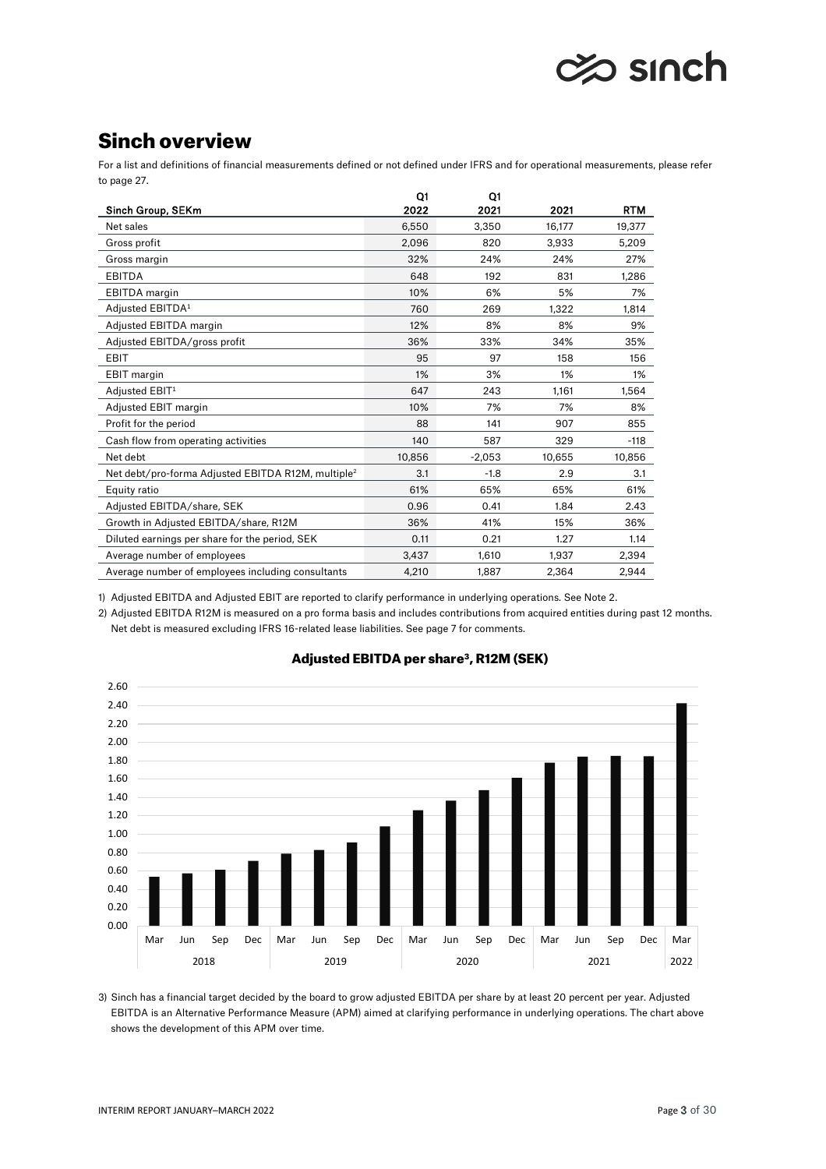# $\gg$  sınch

# Sinch overview

For a list and definitions of financial measurements defined or not defined under IFRS and for operational measurements, please refer to page 27.

|                                                                | Q1     | O1       |        |            |
|----------------------------------------------------------------|--------|----------|--------|------------|
| Sinch Group, SEKm                                              | 2022   | 2021     | 2021   | <b>RTM</b> |
| Net sales                                                      | 6,550  | 3,350    | 16,177 | 19,377     |
| Gross profit                                                   | 2,096  | 820      | 3,933  | 5,209      |
| Gross margin                                                   | 32%    | 24%      | 24%    | 27%        |
| <b>EBITDA</b>                                                  | 648    | 192      | 831    | 1.286      |
| <b>EBITDA</b> margin                                           | 10%    | 6%       | 5%     | 7%         |
| Adjusted EBITDA1                                               | 760    | 269      | 1,322  | 1,814      |
| Adjusted EBITDA margin                                         | 12%    | 8%       | 8%     | 9%         |
| Adjusted EBITDA/gross profit                                   | 36%    | 33%      | 34%    | 35%        |
| <b>EBIT</b>                                                    | 95     | 97       | 158    | 156        |
| <b>EBIT</b> margin                                             | 1%     | 3%       | 1%     | 1%         |
| Adjusted EBIT1                                                 | 647    | 243      | 1.161  | 1,564      |
| Adjusted EBIT margin                                           | 10%    | 7%       | 7%     | 8%         |
| Profit for the period                                          | 88     | 141      | 907    | 855        |
| Cash flow from operating activities                            | 140    | 587      | 329    | $-118$     |
| Net debt                                                       | 10,856 | $-2,053$ | 10,655 | 10,856     |
| Net debt/pro-forma Adjusted EBITDA R12M, multiple <sup>2</sup> | 3.1    | $-1.8$   | 2.9    | 3.1        |
| Equity ratio                                                   | 61%    | 65%      | 65%    | 61%        |
| Adjusted EBITDA/share, SEK                                     | 0.96   | 0.41     | 1.84   | 2.43       |
| Growth in Adjusted EBITDA/share, R12M                          | 36%    | 41%      | 15%    | 36%        |
| Diluted earnings per share for the period, SEK                 | 0.11   | 0.21     | 1.27   | 1.14       |
| Average number of employees                                    | 3,437  | 1,610    | 1.937  | 2,394      |
| Average number of employees including consultants              | 4,210  | 1,887    | 2,364  | 2,944      |

1) Adjusted EBITDA and Adjusted EBIT are reported to clarify performance in underlying operations. See Note 2.

2) Adjusted EBITDA R12M is measured on a pro forma basis and includes contributions from acquired entities during past 12 months. Net debt is measured excluding IFRS 16-related lease liabilities. See page 7 for comments.



# Adjusted EBITDA per share<sup>3</sup>, R12M (SEK)

3) Sinch has a financial target decided by the board to grow adjusted EBITDA per share by at least 20 percent per year. Adjusted EBITDA is an Alternative Performance Measure (APM) aimed at clarifying performance in underlying operations. The chart above shows the development of this APM over time.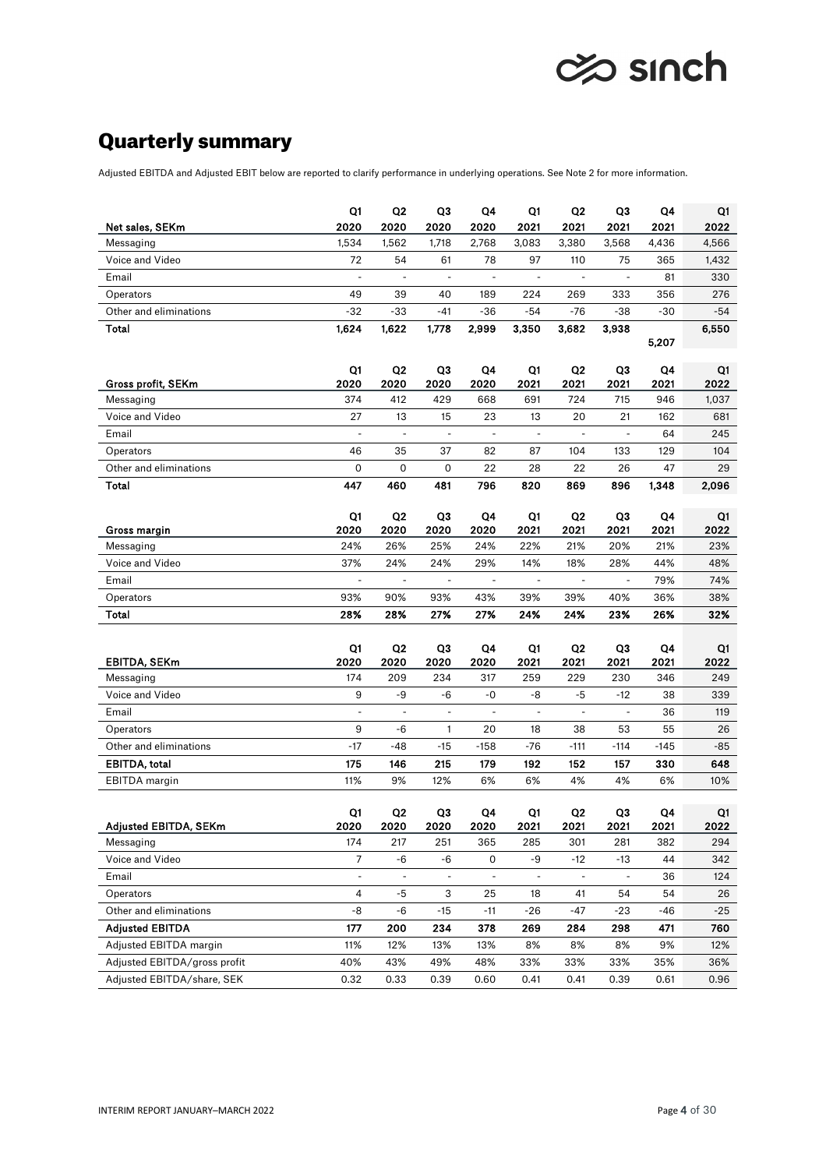

# Quarterly summary

Adjusted EBITDA and Adjusted EBIT below are reported to clarify performance in underlying operations. See Note 2 for more information.

|                              | Q1                       | Q2             | Q3                       | Q4         | Q1                       | Q2                     | Q3                       | Q4         | Q1         |
|------------------------------|--------------------------|----------------|--------------------------|------------|--------------------------|------------------------|--------------------------|------------|------------|
| Net sales, SEKm              | 2020                     | 2020           | 2020                     | 2020       | 2021                     | 2021                   | 2021                     | 2021       | 2022       |
| Messaging                    | 1,534                    | 1,562          | 1,718                    | 2,768      | 3,083                    | 3,380                  | 3,568                    | 4,436      | 4,566      |
| Voice and Video              | 72                       | 54             | 61                       | 78         | 97                       | 110                    | 75                       | 365        | 1,432      |
| Email                        | $\overline{\phantom{a}}$ | $\blacksquare$ | $\blacksquare$           | ÷,         | $\overline{\phantom{a}}$ | $\blacksquare$         | $\blacksquare$           | 81         | 330        |
| Operators                    | 49                       | 39             | 40                       | 189        | 224                      | 269                    | 333                      | 356        | 276        |
| Other and eliminations       | -32                      | $-33$          | -41                      | $-36$      | $-54$                    | $-76$                  | $-38$                    | $-30$      | $-54$      |
| Total                        | 1,624                    | 1,622          | 1,778                    | 2,999      | 3.350                    | 3,682                  | 3,938                    | 5,207      | 6,550      |
| Gross profit, SEKm           | Q1<br>2020               | Q2<br>2020     | Q3<br>2020               | Q4<br>2020 | Q1<br>2021               | Q <sub>2</sub><br>2021 | Q <sub>3</sub><br>2021   | Q4<br>2021 | Q1<br>2022 |
| Messaging                    | 374                      | 412            | 429                      | 668        | 691                      | 724                    | 715                      | 946        | 1,037      |
| Voice and Video              | 27                       | 13             | 15                       | 23         | 13                       | 20                     | 21                       | 162        | 681        |
| Email                        | ä,                       | $\overline{a}$ | ÷,                       | ä,         | ä,                       | $\blacksquare$         | $\blacksquare$           | 64         | 245        |
| Operators                    | 46                       | 35             | 37                       | 82         | 87                       | 104                    | 133                      | 129        | 104        |
| Other and eliminations       | 0                        | 0              | 0                        | 22         | 28                       | 22                     | 26                       | 47         | 29         |
| Total                        | 447                      | 460            | 481                      | 796        | 820                      | 869                    | 896                      | 1,348      | 2,096      |
|                              | Q1                       | Q2             | QЗ                       | Q4         | Q1                       | Q2                     | Q3                       | Q4         | Q1         |
| Gross margin                 | 2020                     | 2020           | 2020                     | 2020       | 2021                     | 2021                   | 2021                     | 2021       | 2022       |
| Messaging<br>Voice and Video | 24%<br>37%               | 26%<br>24%     | 25%<br>24%               | 24%<br>29% | 22%<br>14%               | 21%<br>18%             | 20%<br>28%               | 21%<br>44% | 23%<br>48% |
| Email                        | ä,                       | ÷,             | ÷,                       | $\Box$     | ÷,                       | $\blacksquare$         | $\overline{\phantom{a}}$ | 79%        | 74%        |
|                              |                          |                |                          | 43%        |                          |                        |                          |            |            |
| Operators                    | 93%                      | 90%            | 93%                      |            | 39%                      | 39%                    | 40%                      | 36%        | 38%        |
| Total                        | 28%                      | 28%            | 27%                      | 27%        | 24%                      | 24%                    | 23%                      | 26%        | 32%        |
|                              | Q1                       | Q <sub>2</sub> | Q3                       | Q4         | Q1                       | Q <sub>2</sub>         | Q3                       | Q4         | Q1         |
| <b>EBITDA, SEKm</b>          | 2020                     | 2020           | 2020                     | 2020       | 2021                     | 2021                   | 2021                     | 2021       | 2022       |
| Messaging                    | 174                      | 209            | 234                      | 317        | 259                      | 229                    | 230                      | 346        | 249        |
| Voice and Video              | 9                        | -9             | -6                       | -0         | -8                       | -5                     | $-12$                    | 38         | 339        |
| Email                        | $\overline{\phantom{a}}$ | ÷,             | $\overline{\phantom{a}}$ | ä,         | $\overline{\phantom{a}}$ | ÷,                     | $\overline{\phantom{a}}$ | 36         | 119        |
| Operators                    | 9                        | -6             | 1                        | 20         | 18                       | 38                     | 53                       | 55         | 26         |
| Other and eliminations       | $-17$                    | $-48$          | $-15$                    | $-158$     | $-76$                    | $-111$                 | $-114$                   | $-145$     | -85        |
| EBITDA, total                | 175                      | 146            | 215                      | 179        | 192                      | 152                    | 157                      | 330        | 648        |
| <b>EBITDA</b> margin         | 11%                      | 9%             | 12%                      | 6%         | 6%                       | 4%                     | 4%                       | 6%         | 10%        |
|                              | Q1                       | Q2             | Q3                       | Q4         | Q1                       | Q2                     | Q <sub>3</sub>           | Q4         | Q1         |
| Adjusted EBITDA, SEKm        | 2020                     | 2020           | 2020                     | 2020       | 2021                     | 2021                   | 2021                     | 2021       | 2022       |
| Messaging                    | 174                      | 217            | 251                      | 365        | 285                      | 301                    | 281                      | 382        | 294        |
| Voice and Video              | $\overline{7}$           | -6             | -6                       | 0          | -9                       | $-12$                  | -13                      | 44         | 342        |
| Email                        | ÷,                       | ÷,             | $\blacksquare$           | ÷,         | $\blacksquare$           | $\blacksquare$         |                          | 36         | 124        |
| Operators                    | $\overline{4}$           | $-5$           | 3                        | 25         | 18                       | 41                     | 54                       | 54         | 26         |
| Other and eliminations       | -8                       | -6             | $-15$                    | $-11$      | $-26$                    | -47                    | $-23$                    | -46        | $-25$      |
| <b>Adjusted EBITDA</b>       | 177                      | 200            | 234                      | 378        | 269                      | 284                    | 298                      | 471        | 760        |
| Adjusted EBITDA margin       | 11%                      | 12%            | 13%                      | 13%        | 8%                       | 8%                     | 8%                       | 9%         | 12%        |
| Adjusted EBITDA/gross profit | 40%                      | 43%            | 49%                      | 48%        | 33%                      | 33%                    | 33%                      | 35%        | 36%        |
| Adjusted EBITDA/share, SEK   | 0.32                     | 0.33           | 0.39                     | 0.60       | 0.41                     | 0.41                   | 0.39                     | 0.61       | 0.96       |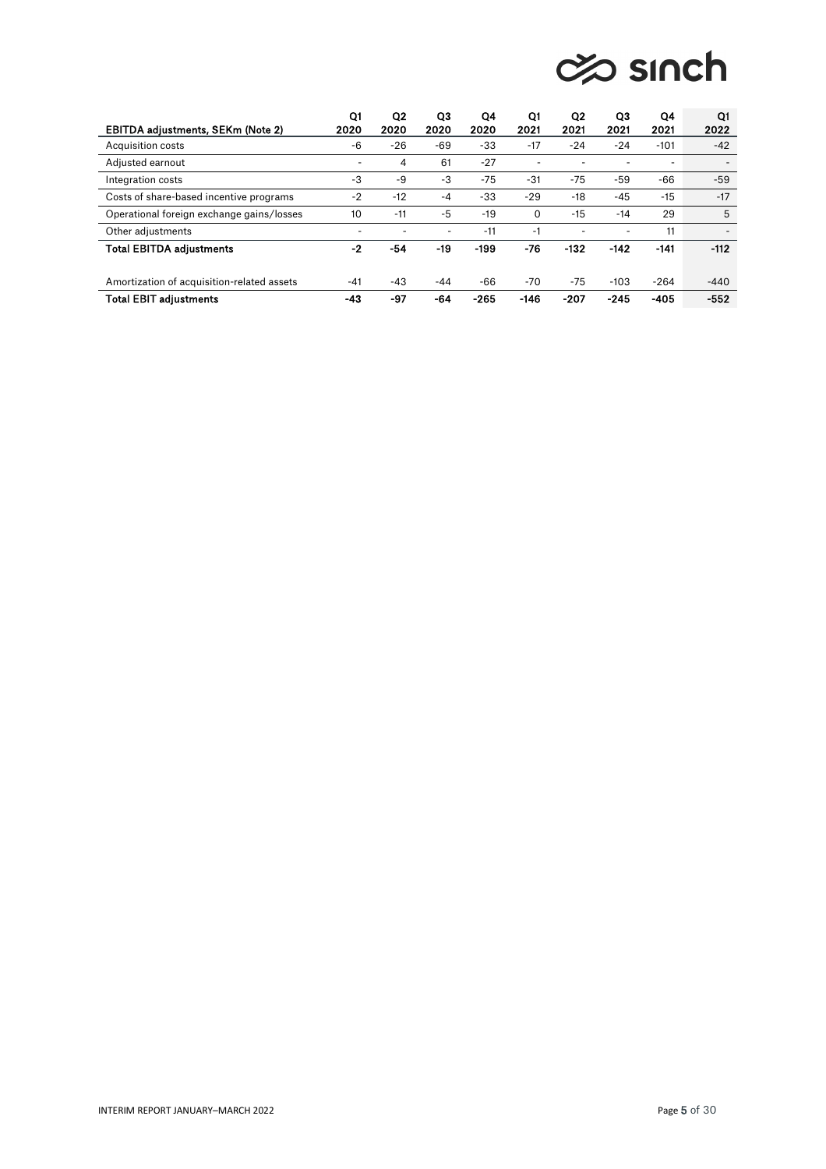# **⊘© sinch**

| EBITDA adjustments, SEKm (Note 2)          | Q1<br>2020 | Q <sub>2</sub><br>2020 | Q3<br>2020 | Q4<br>2020 | Q1<br>2021 | Q2<br>2021 | QЗ<br>2021 | Q4<br>2021 | Q1<br>2022 |
|--------------------------------------------|------------|------------------------|------------|------------|------------|------------|------------|------------|------------|
| Acquisition costs                          | -6         | $-26$                  | -69        | $-33$      | $-17$      | $-24$      | $-24$      | $-101$     | $-42$      |
| Adjusted earnout                           | ۰          | 4                      | 61         | $-27$      |            |            | -          |            |            |
| Integration costs                          | -3         | -9                     | -3         | $-75$      | $-31$      | $-75$      | $-59$      | $-66$      | $-59$      |
| Costs of share-based incentive programs    | $-2$       | $-12$                  | $-4$       | $-33$      | $-29$      | $-18$      | $-45$      | $-15$      | $-17$      |
| Operational foreign exchange gains/losses  | 10         | $-11$                  | -5         | $-19$      | 0          | $-15$      | $-14$      | 29         | 5          |
| Other adjustments                          |            |                        | ۰          | $-11$      | -1         | ۰          | ٠          | 11         |            |
| <b>Total EBITDA adjustments</b>            | $-2$       | -54                    | -19        | $-199$     | -76        | $-132$     | $-142$     | $-141$     | $-112$     |
| Amortization of acquisition-related assets | $-41$      | $-43$                  | -44        | -66        | -70        | -75        | $-103$     | $-264$     | $-440$     |
| <b>Total EBIT adjustments</b>              | -43        | -97                    | -64        | $-265$     | $-146$     | $-207$     | $-245$     | $-405$     | $-552$     |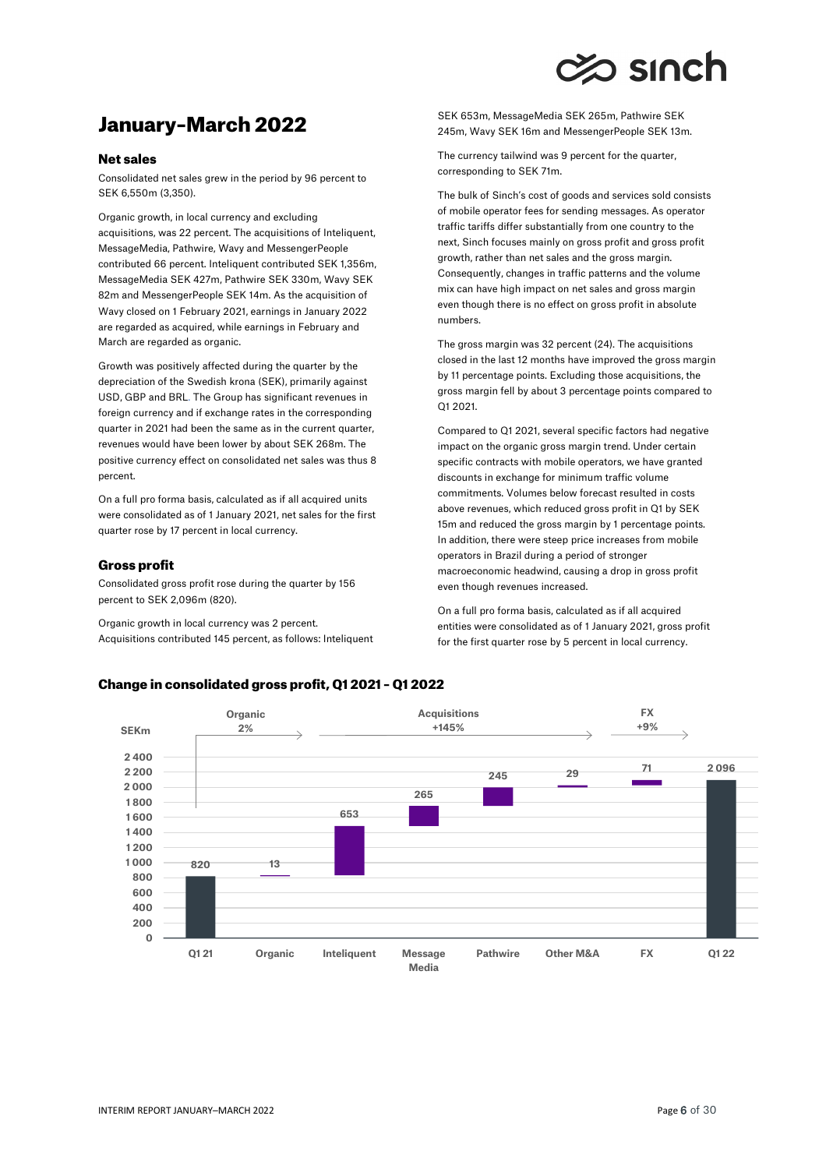# $\approx$  sinch

# January–March 2022

# Net sales

Consolidated net sales grew in the period by 96 percent to SEK 6,550m (3,350).

Organic growth, in local currency and excluding acquisitions, was 22 percent. The acquisitions of Inteliquent, MessageMedia, Pathwire, Wavy and MessengerPeople contributed 66 percent. Inteliquent contributed SEK 1,356m, MessageMedia SEK 427m, Pathwire SEK 330m, Wavy SEK 82m and MessengerPeople SEK 14m. As the acquisition of Wavy closed on 1 February 2021, earnings in January 2022 are regarded as acquired, while earnings in February and March are regarded as organic.

Growth was positively affected during the quarter by the depreciation of the Swedish krona (SEK), primarily against USD, GBP and BRL. The Group has significant revenues in foreign currency and if exchange rates in the corresponding quarter in 2021 had been the same as in the current quarter, revenues would have been lower by about SEK 268m. The positive currency effect on consolidated net sales was thus 8 percent.

On a full pro forma basis, calculated as if all acquired units were consolidated as of 1 January 2021, net sales for the first quarter rose by 17 percent in local currency.

# Gross profit

Consolidated gross profit rose during the quarter by 156 percent to SEK 2,096m (820).

Organic growth in local currency was 2 percent. Acquisitions contributed 145 percent, as follows: Inteliquent SEK 653m, MessageMedia SEK 265m, Pathwire SEK 245m, Wavy SEK 16m and MessengerPeople SEK 13m.

The currency tailwind was 9 percent for the quarter, corresponding to SEK 71m.

The bulk of Sinch's cost of goods and services sold consists of mobile operator fees for sending messages. As operator traffic tariffs differ substantially from one country to the next, Sinch focuses mainly on gross profit and gross profit growth, rather than net sales and the gross margin. Consequently, changes in traffic patterns and the volume mix can have high impact on net sales and gross margin even though there is no effect on gross profit in absolute numbers.

The gross margin was 32 percent (24). The acquisitions closed in the last 12 months have improved the gross margin by 11 percentage points. Excluding those acquisitions, the gross margin fell by about 3 percentage points compared to Q1 2021.

Compared to Q1 2021, several specific factors had negative impact on the organic gross margin trend. Under certain specific contracts with mobile operators, we have granted discounts in exchange for minimum traffic volume commitments. Volumes below forecast resulted in costs above revenues, which reduced gross profit in Q1 by SEK 15m and reduced the gross margin by 1 percentage points. In addition, there were steep price increases from mobile operators in Brazil during a period of stronger macroeconomic headwind, causing a drop in gross profit even though revenues increased.

On a full pro forma basis, calculated as if all acquired entities were consolidated as of 1 January 2021, gross profit for the first quarter rose by 5 percent in local currency.



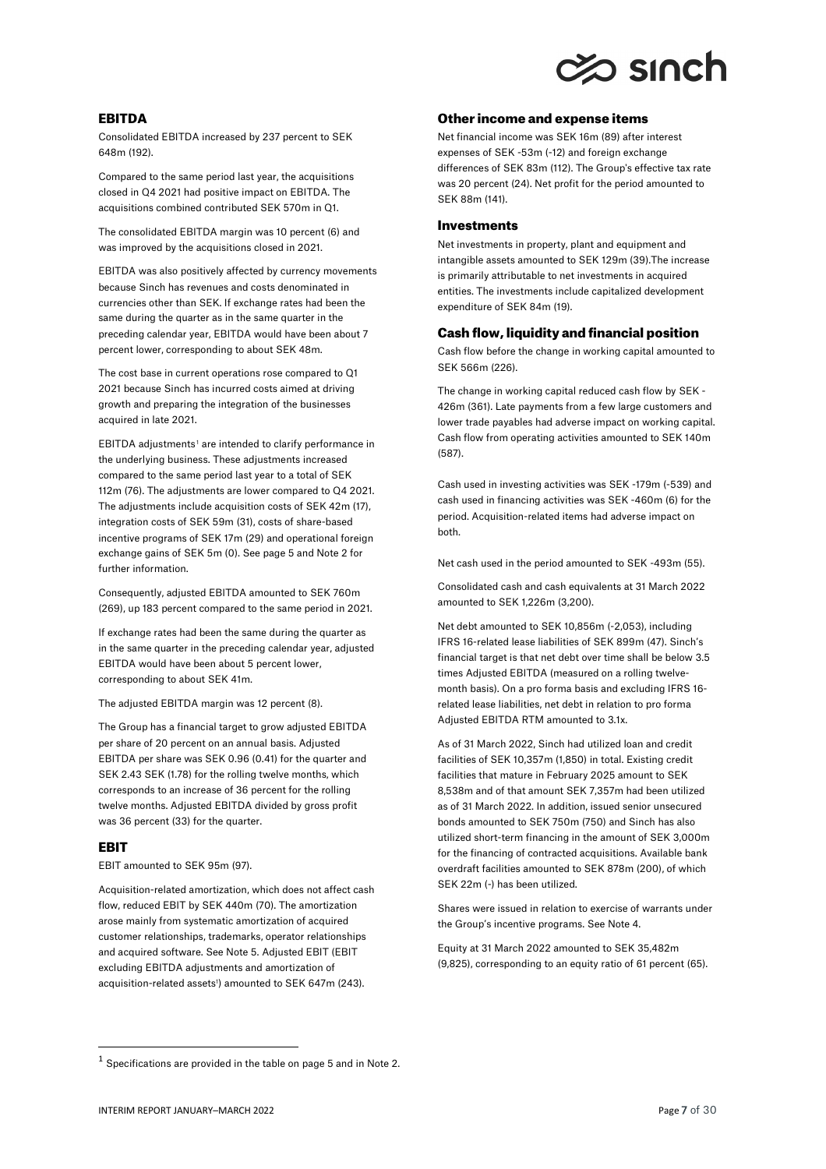

# EBITDA

Consolidated EBITDA increased by 237 percent to SEK 648m (192).

Compared to the same period last year, the acquisitions closed in Q4 2021 had positive impact on EBITDA. The acquisitions combined contributed SEK 570m in Q1.

The consolidated EBITDA margin was 10 percent (6) and was improved by the acquisitions closed in 2021.

EBITDA was also positively affected by currency movements because Sinch has revenues and costs denominated in currencies other than SEK. If exchange rates had been the same during the quarter as in the same quarter in the preceding calendar year, EBITDA would have been about 7 percent lower, corresponding to about SEK 48m.

The cost base in current operations rose compared to Q1 2021 because Sinch has incurred costs aimed at driving growth and preparing the integration of the businesses acquired in late 2021.

EBITDA adjustments<sup>[1](#page-6-0)</sup> are intended to clarify performance in the underlying business. These adjustments increased compared to the same period last year to a total of SEK 112m (76). The adjustments are lower compared to Q4 2021. The adjustments include acquisition costs of SEK 42m (17), integration costs of SEK 59m (31), costs of share-based incentive programs of SEK 17m (29) and operational foreign exchange gains of SEK 5m (0). See page 5 and Note 2 for further information.

Consequently, adjusted EBITDA amounted to SEK 760m (269), up 183 percent compared to the same period in 2021.

If exchange rates had been the same during the quarter as in the same quarter in the preceding calendar year, adjusted EBITDA would have been about 5 percent lower, corresponding to about SEK 41m.

The adjusted EBITDA margin was 12 percent (8).

The Group has a financial target to grow adjusted EBITDA per share of 20 percent on an annual basis. Adjusted EBITDA per share was SEK 0.96 (0.41) for the quarter and SEK 2.43 SEK (1.78) for the rolling twelve months, which corresponds to an increase of 36 percent for the rolling twelve months. Adjusted EBITDA divided by gross profit was 36 percent (33) for the quarter.

# **FRIT**

EBIT amounted to SEK 95m (97).

Acquisition-related amortization, which does not affect cash flow, reduced EBIT by SEK 440m (70). The amortization arose mainly from systematic amortization of acquired customer relationships, trademarks, operator relationships and acquired software. See Note 5. Adjusted EBIT (EBIT excluding EBITDA adjustments and amortization of acquisition-related assets<sup>1</sup>) amounted to SEK 647m (243).

### Other income and expense items

Net financial income was SEK 16m (89) after interest expenses of SEK -53m (-12) and foreign exchange differences of SEK 83m (112). The Group's effective tax rate was 20 percent (24). Net profit for the period amounted to SEK 88m (141).

## **Investments**

Net investments in property, plant and equipment and intangible assets amounted to SEK 129m (39).The increase is primarily attributable to net investments in acquired entities. The investments include capitalized development expenditure of SEK 84m (19).

# Cash flow, liquidity and financial position

Cash flow before the change in working capital amounted to SEK 566m (226).

The change in working capital reduced cash flow by SEK - 426m (361). Late payments from a few large customers and lower trade payables had adverse impact on working capital. Cash flow from operating activities amounted to SEK 140m (587).

Cash used in investing activities was SEK -179m (-539) and cash used in financing activities was SEK -460m (6) for the period. Acquisition-related items had adverse impact on both.

Net cash used in the period amounted to SEK -493m (55).

Consolidated cash and cash equivalents at 31 March 2022 amounted to SEK 1,226m (3,200).

Net debt amounted to SEK 10,856m (-2,053), including IFRS 16-related lease liabilities of SEK 899m (47). Sinch's financial target is that net debt over time shall be below 3.5 times Adjusted EBITDA (measured on a rolling twelvemonth basis). On a pro forma basis and excluding IFRS 16 related lease liabilities, net debt in relation to pro forma Adjusted EBITDA RTM amounted to 3.1x.

As of 31 March 2022, Sinch had utilized loan and credit facilities of SEK 10,357m (1,850) in total. Existing credit facilities that mature in February 2025 amount to SEK 8,538m and of that amount SEK 7,357m had been utilized as of 31 March 2022. In addition, issued senior unsecured bonds amounted to SEK 750m (750) and Sinch has also utilized short-term financing in the amount of SEK 3,000m for the financing of contracted acquisitions. Available bank overdraft facilities amounted to SEK 878m (200), of which SEK 22m (-) has been utilized.

Shares were issued in relation to exercise of warrants under the Group's incentive programs. See Note 4.

Equity at 31 March 2022 amounted to SEK 35,482m (9,825), corresponding to an equity ratio of 61 percent (65).

<span id="page-6-0"></span> $^1$  Specifications are provided in the table on page 5 and in Note 2.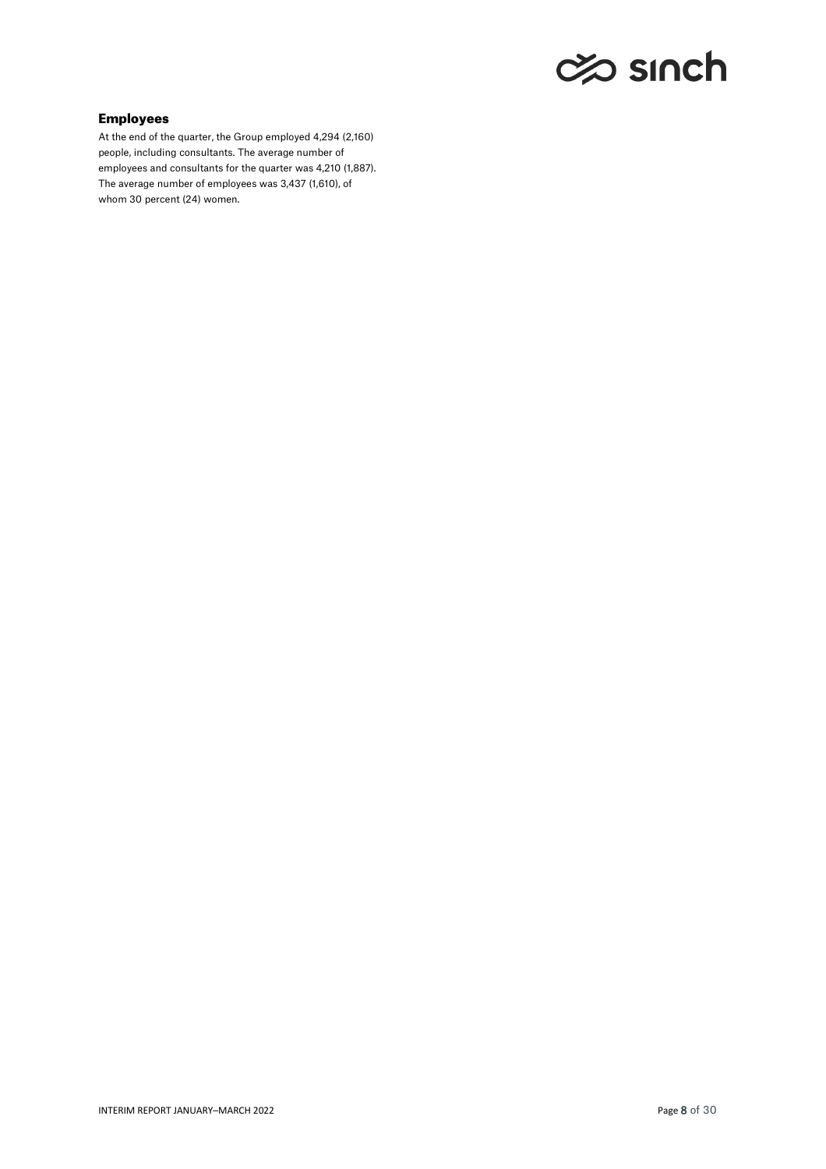# c% sınch

# Employees

At the end of the quarter, the Group employed 4,294 (2,160) people, including consultants. The average number of employees and consultants for the quarter was 4,210 (1,887). The average number of employees was 3,437 (1,610), of whom 30 percent (24) women.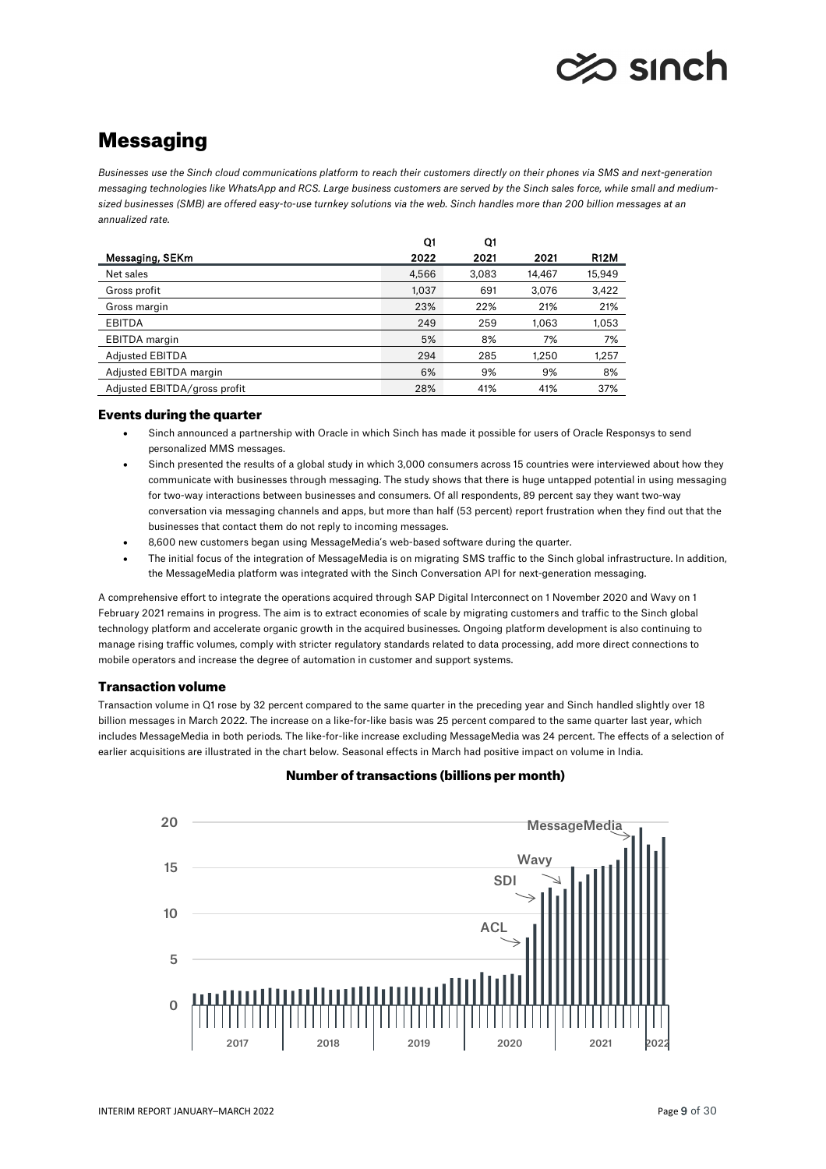# o sınch

# **Messaging**

*Businesses use the Sinch cloud communications platform to reach their customers directly on their phones via SMS and next-generation messaging technologies like WhatsApp and RCS. Large business customers are served by the Sinch sales force, while small and mediumsized businesses (SMB) are offered easy-to-use turnkey solutions via the web. Sinch handles more than 200 billion messages at an annualized rate.* 

|                              | Q1    | Q1    |        |             |
|------------------------------|-------|-------|--------|-------------|
| Messaging, SEKm              | 2022  | 2021  | 2021   | <b>R12M</b> |
| Net sales                    | 4,566 | 3,083 | 14,467 | 15,949      |
| Gross profit                 | 1,037 | 691   | 3,076  | 3,422       |
| Gross margin                 | 23%   | 22%   | 21%    | 21%         |
| <b>EBITDA</b>                | 249   | 259   | 1.063  | 1,053       |
| <b>EBITDA</b> margin         | 5%    | 8%    | 7%     | 7%          |
| <b>Adjusted EBITDA</b>       | 294   | 285   | 1.250  | 1,257       |
| Adjusted EBITDA margin       | 6%    | 9%    | 9%     | 8%          |
| Adjusted EBITDA/gross profit | 28%   | 41%   | 41%    | 37%         |

# Events during the quarter

- Sinch announced a partnership with Oracle in which Sinch has made it possible for users of Oracle Responsys to send personalized MMS messages.
- Sinch presented the results of a global study in which 3,000 consumers across 15 countries were interviewed about how they communicate with businesses through messaging. The study shows that there is huge untapped potential in using messaging for two-way interactions between businesses and consumers. Of all respondents, 89 percent say they want two-way conversation via messaging channels and apps, but more than half (53 percent) report frustration when they find out that the businesses that contact them do not reply to incoming messages.
- 8,600 new customers began using MessageMedia's web-based software during the quarter.
- The initial focus of the integration of MessageMedia is on migrating SMS traffic to the Sinch global infrastructure. In addition, the MessageMedia platform was integrated with the Sinch Conversation API for next-generation messaging.

A comprehensive effort to integrate the operations acquired through SAP Digital Interconnect on 1 November 2020 and Wavy on 1 February 2021 remains in progress. The aim is to extract economies of scale by migrating customers and traffic to the Sinch global technology platform and accelerate organic growth in the acquired businesses. Ongoing platform development is also continuing to manage rising traffic volumes, comply with stricter regulatory standards related to data processing, add more direct connections to mobile operators and increase the degree of automation in customer and support systems.

# Transaction volume

Transaction volume in Q1 rose by 32 percent compared to the same quarter in the preceding year and Sinch handled slightly over 18 billion messages in March 2022. The increase on a like-for-like basis was 25 percent compared to the same quarter last year, which includes MessageMedia in both periods. The like-for-like increase excluding MessageMedia was 24 percent. The effects of a selection of earlier acquisitions are illustrated in the chart below. Seasonal effects in March had positive impact on volume in India.

# Number of transactions (billions per month)

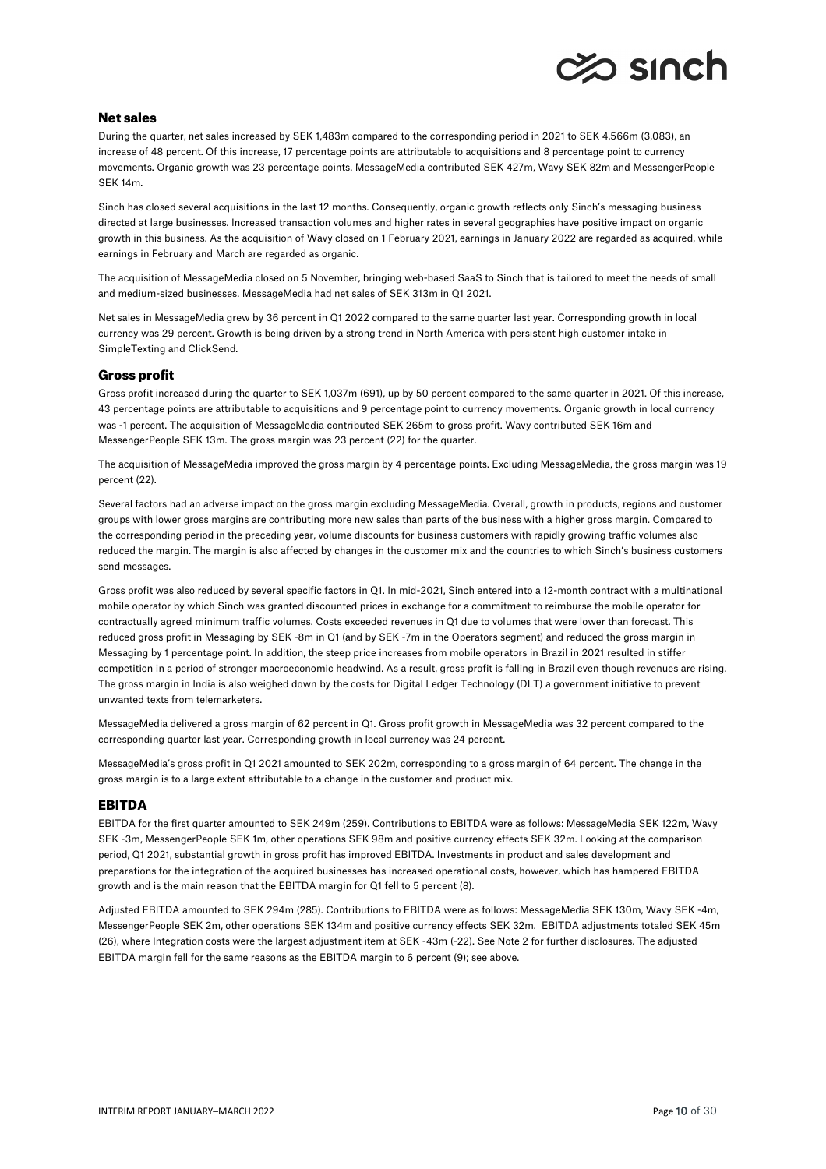

# Net sales

During the quarter, net sales increased by SEK 1,483m compared to the corresponding period in 2021 to SEK 4,566m (3,083), an increase of 48 percent. Of this increase, 17 percentage points are attributable to acquisitions and 8 percentage point to currency movements. Organic growth was 23 percentage points. MessageMedia contributed SEK 427m, Wavy SEK 82m and MessengerPeople SEK 14m.

Sinch has closed several acquisitions in the last 12 months. Consequently, organic growth reflects only Sinch's messaging business directed at large businesses. Increased transaction volumes and higher rates in several geographies have positive impact on organic growth in this business. As the acquisition of Wavy closed on 1 February 2021, earnings in January 2022 are regarded as acquired, while earnings in February and March are regarded as organic.

The acquisition of MessageMedia closed on 5 November, bringing web-based SaaS to Sinch that is tailored to meet the needs of small and medium-sized businesses. MessageMedia had net sales of SEK 313m in Q1 2021.

Net sales in MessageMedia grew by 36 percent in Q1 2022 compared to the same quarter last year. Corresponding growth in local currency was 29 percent. Growth is being driven by a strong trend in North America with persistent high customer intake in SimpleTexting and ClickSend.

# Gross profit

Gross profit increased during the quarter to SEK 1,037m (691), up by 50 percent compared to the same quarter in 2021. Of this increase, 43 percentage points are attributable to acquisitions and 9 percentage point to currency movements. Organic growth in local currency was -1 percent. The acquisition of MessageMedia contributed SEK 265m to gross profit. Wavy contributed SEK 16m and MessengerPeople SEK 13m. The gross margin was 23 percent (22) for the quarter.

The acquisition of MessageMedia improved the gross margin by 4 percentage points. Excluding MessageMedia, the gross margin was 19 percent (22).

Several factors had an adverse impact on the gross margin excluding MessageMedia. Overall, growth in products, regions and customer groups with lower gross margins are contributing more new sales than parts of the business with a higher gross margin. Compared to the corresponding period in the preceding year, volume discounts for business customers with rapidly growing traffic volumes also reduced the margin. The margin is also affected by changes in the customer mix and the countries to which Sinch's business customers send messages.

Gross profit was also reduced by several specific factors in Q1. In mid-2021, Sinch entered into a 12-month contract with a multinational mobile operator by which Sinch was granted discounted prices in exchange for a commitment to reimburse the mobile operator for contractually agreed minimum traffic volumes. Costs exceeded revenues in Q1 due to volumes that were lower than forecast. This reduced gross profit in Messaging by SEK -8m in Q1 (and by SEK -7m in the Operators segment) and reduced the gross margin in Messaging by 1 percentage point. In addition, the steep price increases from mobile operators in Brazil in 2021 resulted in stiffer competition in a period of stronger macroeconomic headwind. As a result, gross profit is falling in Brazil even though revenues are rising. The gross margin in India is also weighed down by the costs for Digital Ledger Technology (DLT) a government initiative to prevent unwanted texts from telemarketers.

MessageMedia delivered a gross margin of 62 percent in Q1. Gross profit growth in MessageMedia was 32 percent compared to the corresponding quarter last year. Corresponding growth in local currency was 24 percent.

MessageMedia's gross profit in Q1 2021 amounted to SEK 202m, corresponding to a gross margin of 64 percent. The change in the gross margin is to a large extent attributable to a change in the customer and product mix.

# EBITDA

EBITDA for the first quarter amounted to SEK 249m (259). Contributions to EBITDA were as follows: MessageMedia SEK 122m, Wavy SEK -3m, MessengerPeople SEK 1m, other operations SEK 98m and positive currency effects SEK 32m. Looking at the comparison period, Q1 2021, substantial growth in gross profit has improved EBITDA. Investments in product and sales development and preparations for the integration of the acquired businesses has increased operational costs, however, which has hampered EBITDA growth and is the main reason that the EBITDA margin for Q1 fell to 5 percent (8).

Adjusted EBITDA amounted to SEK 294m (285). Contributions to EBITDA were as follows: MessageMedia SEK 130m, Wavy SEK -4m, MessengerPeople SEK 2m, other operations SEK 134m and positive currency effects SEK 32m. EBITDA adjustments totaled SEK 45m (26), where Integration costs were the largest adjustment item at SEK -43m (-22). See Note 2 for further disclosures. The adjusted EBITDA margin fell for the same reasons as the EBITDA margin to 6 percent (9); see above.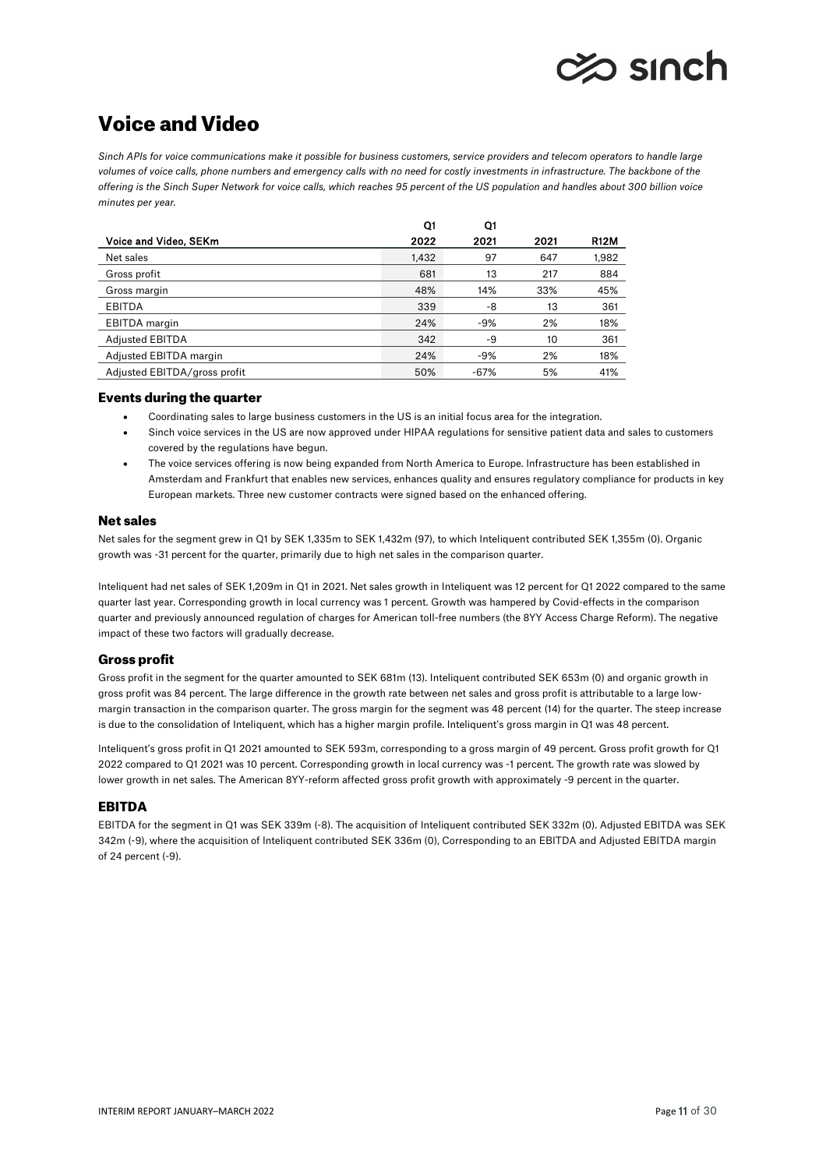

# Voice and Video

*Sinch APIs for voice communications make it possible for business customers, service providers and telecom operators to handle large volumes of voice calls, phone numbers and emergency calls with no need for costly investments in infrastructure. The backbone of the offering is the Sinch Super Network for voice calls, which reaches 95 percent of the US population and handles about 300 billion voice minutes per year.* 

|                              | Q1    | Q1     |      |             |
|------------------------------|-------|--------|------|-------------|
| Voice and Video, SEKm        | 2022  | 2021   | 2021 | <b>R12M</b> |
| Net sales                    | 1,432 | 97     | 647  | 1,982       |
| Gross profit                 | 681   | 13     | 217  | 884         |
| Gross margin                 | 48%   | 14%    | 33%  | 45%         |
| <b>EBITDA</b>                | 339   | -8     | 13   | 361         |
| EBITDA margin                | 24%   | $-9%$  | 2%   | 18%         |
| <b>Adjusted EBITDA</b>       | 342   | -9     | 10   | 361         |
| Adjusted EBITDA margin       | 24%   | $-9%$  | 2%   | 18%         |
| Adjusted EBITDA/gross profit | 50%   | $-67%$ | 5%   | 41%         |

# Events during the quarter

- Coordinating sales to large business customers in the US is an initial focus area for the integration.
- Sinch voice services in the US are now approved under HIPAA regulations for sensitive patient data and sales to customers covered by the regulations have begun.
- The voice services offering is now being expanded from North America to Europe. Infrastructure has been established in Amsterdam and Frankfurt that enables new services, enhances quality and ensures regulatory compliance for products in key European markets. Three new customer contracts were signed based on the enhanced offering.

# Net sales

Net sales for the segment grew in Q1 by SEK 1,335m to SEK 1,432m (97), to which Inteliquent contributed SEK 1,355m (0). Organic growth was -31 percent for the quarter, primarily due to high net sales in the comparison quarter.

Inteliquent had net sales of SEK 1,209m in Q1 in 2021. Net sales growth in Inteliquent was 12 percent for Q1 2022 compared to the same quarter last year. Corresponding growth in local currency was 1 percent. Growth was hampered by Covid-effects in the comparison quarter and previously announced regulation of charges for American toll-free numbers (the 8YY Access Charge Reform). The negative impact of these two factors will gradually decrease.

# Gross profit

Gross profit in the segment for the quarter amounted to SEK 681m (13). Inteliquent contributed SEK 653m (0) and organic growth in gross profit was 84 percent. The large difference in the growth rate between net sales and gross profit is attributable to a large lowmargin transaction in the comparison quarter. The gross margin for the segment was 48 percent (14) for the quarter. The steep increase is due to the consolidation of Inteliquent, which has a higher margin profile. Inteliquent's gross margin in Q1 was 48 percent.

Inteliquent's gross profit in Q1 2021 amounted to SEK 593m, corresponding to a gross margin of 49 percent. Gross profit growth for Q1 2022 compared to Q1 2021 was 10 percent. Corresponding growth in local currency was -1 percent. The growth rate was slowed by lower growth in net sales. The American 8YY-reform affected gross profit growth with approximately -9 percent in the quarter.

# EBITDA

EBITDA for the segment in Q1 was SEK 339m (-8). The acquisition of Inteliquent contributed SEK 332m (0). Adjusted EBITDA was SEK 342m (-9), where the acquisition of Inteliquent contributed SEK 336m (0), Corresponding to an EBITDA and Adjusted EBITDA margin of 24 percent (-9).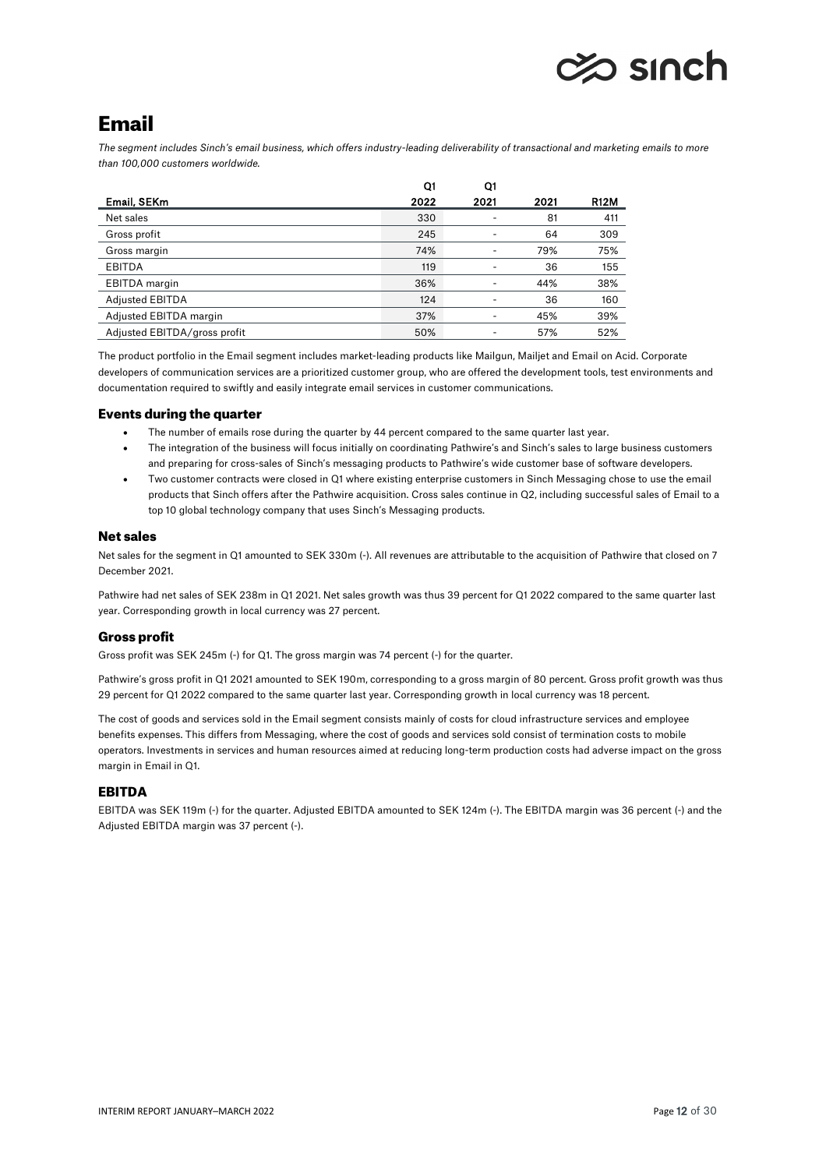# $\gg$  sinch

# Email

*The segment includes Sinch's email business, which offers industry-leading deliverability of transactional and marketing emails to more than 100,000 customers worldwide.* 

|                              | Q1   | Q1   |      |             |
|------------------------------|------|------|------|-------------|
| Email, SEKm                  | 2022 | 2021 | 2021 | <b>R12M</b> |
| Net sales                    | 330  |      | 81   | 411         |
| Gross profit                 | 245  |      | 64   | 309         |
| Gross margin                 | 74%  |      | 79%  | 75%         |
| <b>EBITDA</b>                | 119  |      | 36   | 155         |
| <b>EBITDA</b> margin         | 36%  |      | 44%  | 38%         |
| <b>Adjusted EBITDA</b>       | 124  |      | 36   | 160         |
| Adjusted EBITDA margin       | 37%  |      | 45%  | 39%         |
| Adjusted EBITDA/gross profit | 50%  |      | 57%  | 52%         |

The product portfolio in the Email segment includes market-leading products like Mailgun, Mailjet and Email on Acid. Corporate developers of communication services are a prioritized customer group, who are offered the development tools, test environments and documentation required to swiftly and easily integrate email services in customer communications.

# Events during the quarter

- The number of emails rose during the quarter by 44 percent compared to the same quarter last year.
- The integration of the business will focus initially on coordinating Pathwire's and Sinch's sales to large business customers and preparing for cross-sales of Sinch's messaging products to Pathwire's wide customer base of software developers.
- Two customer contracts were closed in Q1 where existing enterprise customers in Sinch Messaging chose to use the email products that Sinch offers after the Pathwire acquisition. Cross sales continue in Q2, including successful sales of Email to a top 10 global technology company that uses Sinch's Messaging products.

# Net sales

Net sales for the segment in Q1 amounted to SEK 330m (-). All revenues are attributable to the acquisition of Pathwire that closed on 7 December 2021.

Pathwire had net sales of SEK 238m in Q1 2021. Net sales growth was thus 39 percent for Q1 2022 compared to the same quarter last year. Corresponding growth in local currency was 27 percent.

# Gross profit

Gross profit was SEK 245m (-) for Q1. The gross margin was 74 percent (-) for the quarter.

Pathwire's gross profit in Q1 2021 amounted to SEK 190m, corresponding to a gross margin of 80 percent. Gross profit growth was thus 29 percent for Q1 2022 compared to the same quarter last year. Corresponding growth in local currency was 18 percent.

The cost of goods and services sold in the Email segment consists mainly of costs for cloud infrastructure services and employee benefits expenses. This differs from Messaging, where the cost of goods and services sold consist of termination costs to mobile operators. Investments in services and human resources aimed at reducing long-term production costs had adverse impact on the gross margin in Email in Q1.

# EBITDA

EBITDA was SEK 119m (-) for the quarter. Adjusted EBITDA amounted to SEK 124m (-). The EBITDA margin was 36 percent (-) and the Adjusted EBITDA margin was 37 percent (-).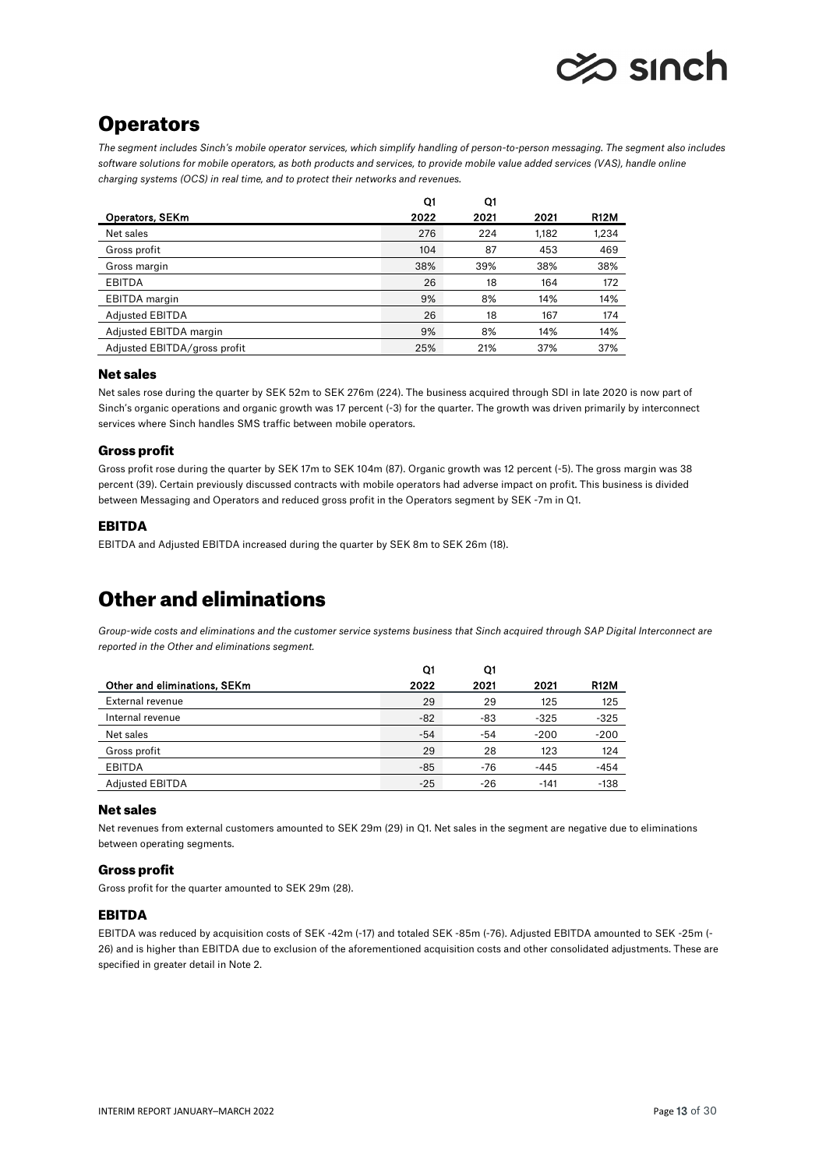

# **Operators**

*The segment includes Sinch's mobile operator services, which simplify handling of person-to-person messaging. The segment also includes software solutions for mobile operators, as both products and services, to provide mobile value added services (VAS), handle online charging systems (OCS) in real time, and to protect their networks and revenues.* 

|                              | Q1   | Q1   |       |             |
|------------------------------|------|------|-------|-------------|
| Operators, SEKm              | 2022 | 2021 | 2021  | <b>R12M</b> |
| Net sales                    | 276  | 224  | 1,182 | 1,234       |
| Gross profit                 | 104  | 87   | 453   | 469         |
| Gross margin                 | 38%  | 39%  | 38%   | 38%         |
| <b>EBITDA</b>                | 26   | 18   | 164   | 172         |
| <b>EBITDA</b> margin         | 9%   | 8%   | 14%   | 14%         |
| <b>Adjusted EBITDA</b>       | 26   | 18   | 167   | 174         |
| Adjusted EBITDA margin       | 9%   | 8%   | 14%   | 14%         |
| Adjusted EBITDA/gross profit | 25%  | 21%  | 37%   | 37%         |

# Net sales

Net sales rose during the quarter by SEK 52m to SEK 276m (224). The business acquired through SDI in late 2020 is now part of Sinch's organic operations and organic growth was 17 percent (-3) for the quarter. The growth was driven primarily by interconnect services where Sinch handles SMS traffic between mobile operators.

# Gross profit

Gross profit rose during the quarter by SEK 17m to SEK 104m (87). Organic growth was 12 percent (-5). The gross margin was 38 percent (39). Certain previously discussed contracts with mobile operators had adverse impact on profit. This business is divided between Messaging and Operators and reduced gross profit in the Operators segment by SEK -7m in Q1.

# EBITDA

EBITDA and Adjusted EBITDA increased during the quarter by SEK 8m to SEK 26m (18).

# Other and eliminations

*Group-wide costs and eliminations and the customer service systems business that Sinch acquired through SAP Digital Interconnect are reported in the Other and eliminations segment.* 

|                              | Q1    | Q1    |        |             |
|------------------------------|-------|-------|--------|-------------|
| Other and eliminations, SEKm | 2022  | 2021  | 2021   | <b>R12M</b> |
| External revenue             | 29    | 29    | 125    | 125         |
| Internal revenue             | $-82$ | -83   | $-325$ | $-325$      |
| Net sales                    | $-54$ | -54   | $-200$ | $-200$      |
| Gross profit                 | 29    | 28    | 123    | 124         |
| <b>EBITDA</b>                | $-85$ | -76   | $-445$ | $-454$      |
| <b>Adjusted EBITDA</b>       | $-25$ | $-26$ | $-141$ | $-138$      |

# Net sales

Net revenues from external customers amounted to SEK 29m (29) in Q1. Net sales in the segment are negative due to eliminations between operating segments.

# Gross profit

Gross profit for the quarter amounted to SEK 29m (28).

# EBITDA

EBITDA was reduced by acquisition costs of SEK -42m (-17) and totaled SEK -85m (-76). Adjusted EBITDA amounted to SEK -25m (- 26) and is higher than EBITDA due to exclusion of the aforementioned acquisition costs and other consolidated adjustments. These are specified in greater detail in Note 2.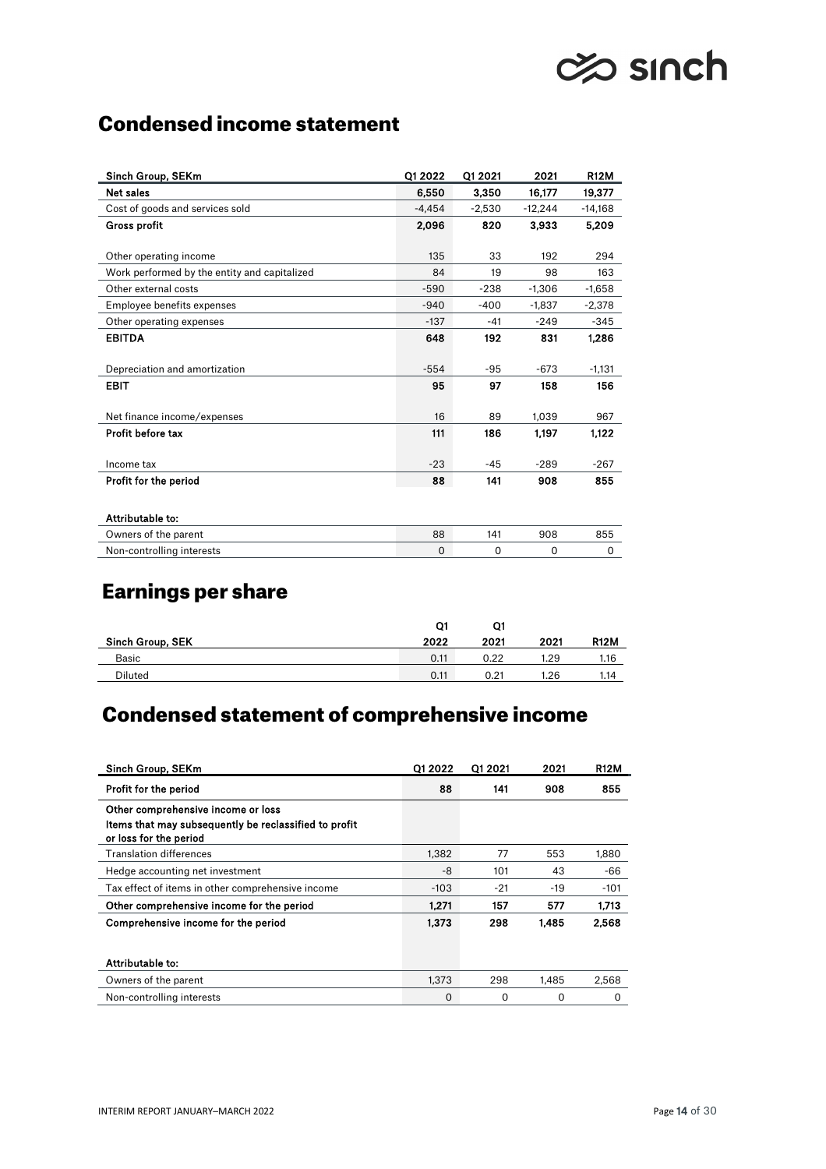# **⊘** sınch

# Condensed income statement

| Sinch Group, SEKm                            | Q1 2022  | Q1 2021  | 2021      | <b>R12M</b> |
|----------------------------------------------|----------|----------|-----------|-------------|
| <b>Net sales</b>                             | 6,550    | 3,350    | 16,177    | 19,377      |
| Cost of goods and services sold              | $-4.454$ | $-2,530$ | $-12,244$ | $-14,168$   |
| <b>Gross profit</b>                          | 2,096    | 820      | 3,933     | 5,209       |
| Other operating income                       | 135      | 33       | 192       | 294         |
| Work performed by the entity and capitalized | 84       | 19       | 98        | 163         |
| Other external costs                         | $-590$   | $-238$   | $-1,306$  | $-1,658$    |
| Employee benefits expenses                   | $-940$   | $-400$   | $-1,837$  | $-2,378$    |
| Other operating expenses                     | $-137$   | $-41$    | $-249$    | $-345$      |
| <b>EBITDA</b>                                | 648      | 192      | 831       | 1.286       |
| Depreciation and amortization                | $-554$   | $-95$    | $-673$    | $-1,131$    |
| <b>EBIT</b>                                  | 95       | 97       | 158       | 156         |
| Net finance income/expenses                  | 16       | 89       | 1,039     | 967         |
| Profit before tax                            | 111      | 186      | 1.197     | 1,122       |
| Income tax                                   | $-23$    | $-45$    | $-289$    | $-267$      |
| Profit for the period                        | 88       | 141      | 908       | 855         |
| Attributable to:                             |          |          |           |             |
| Owners of the parent                         | 88       | 141      | 908       | 855         |
| Non-controlling interests                    | 0        | 0        | 0         | 0           |

# Earnings per share

|                  | Q1   |      |            |             |
|------------------|------|------|------------|-------------|
| Sinch Group, SEK | 2022 | 2021 | 2021       | <b>R12M</b> |
| Basic            | 0.11 | 0.22 | l.29       | 1.16        |
| Diluted          | 0.11 | 0.21 | <b>.26</b> | 1.14        |

# Condensed statement of comprehensive income

| Sinch Group, SEKm                                                                                                     | Q1 2022  | Q1 2021 | 2021  | <b>R12M</b> |
|-----------------------------------------------------------------------------------------------------------------------|----------|---------|-------|-------------|
| Profit for the period                                                                                                 | 88       | 141     | 908   | 855         |
| Other comprehensive income or loss<br>Items that may subsequently be reclassified to profit<br>or loss for the period |          |         |       |             |
| <b>Translation differences</b>                                                                                        | 1,382    | 77      | 553   | 1,880       |
| Hedge accounting net investment                                                                                       | -8       | 101     | 43    | -66         |
| Tax effect of items in other comprehensive income                                                                     | $-103$   | $-21$   | -19   | $-101$      |
| Other comprehensive income for the period                                                                             | 1.271    | 157     | 577   | 1,713       |
| Comprehensive income for the period                                                                                   | 1.373    | 298     | 1.485 | 2,568       |
| Attributable to:                                                                                                      |          |         |       |             |
| Owners of the parent                                                                                                  | 1,373    | 298     | 1,485 | 2,568       |
| Non-controlling interests                                                                                             | $\Omega$ | 0       | 0     | $\Omega$    |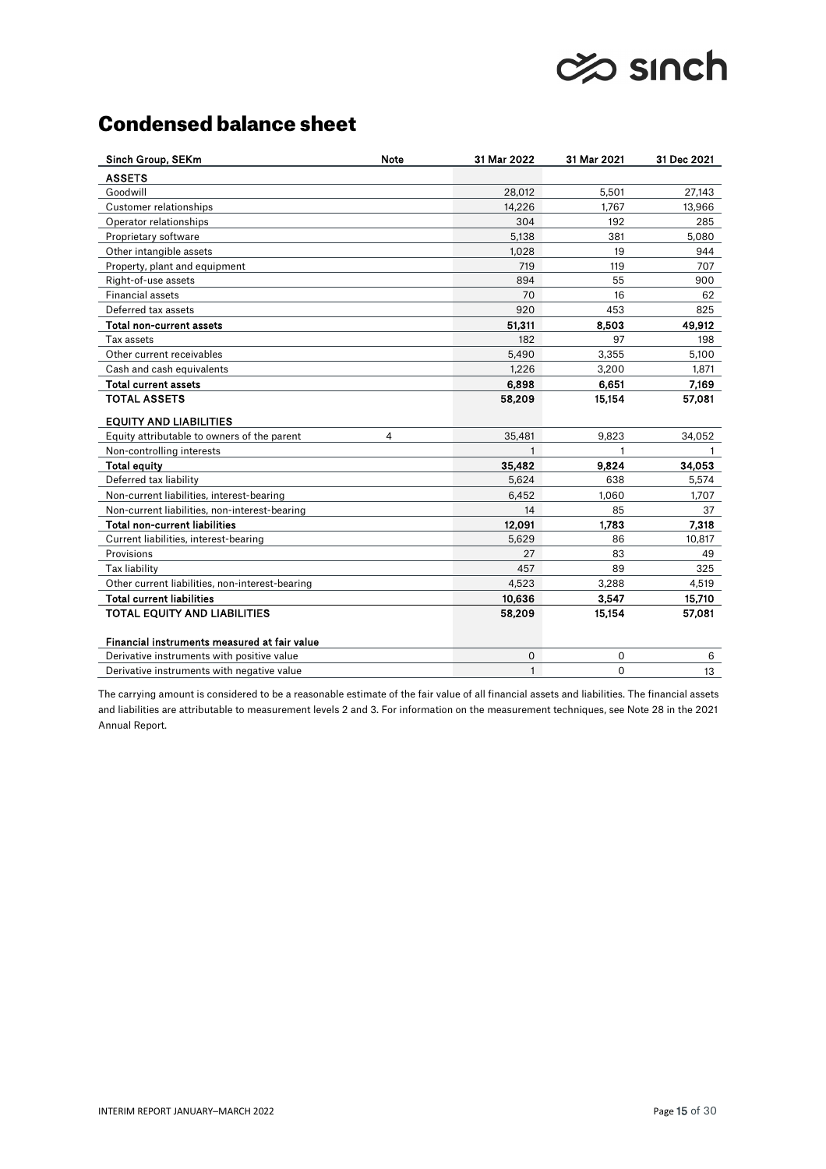# **⊘©o sinch**

# Condensed balance sheet

| Sinch Group, SEKm                               | <b>Note</b> | 31 Mar 2022  | 31 Mar 2021  | 31 Dec 2021 |
|-------------------------------------------------|-------------|--------------|--------------|-------------|
| <b>ASSETS</b>                                   |             |              |              |             |
| Goodwill                                        |             | 28,012       | 5,501        | 27,143      |
| <b>Customer relationships</b>                   |             | 14,226       | 1,767        | 13,966      |
| Operator relationships                          |             | 304          | 192          | 285         |
| Proprietary software                            |             | 5,138        | 381          | 5,080       |
| Other intangible assets                         |             | 1,028        | 19           | 944         |
| Property, plant and equipment                   |             | 719          | 119          | 707         |
| Right-of-use assets                             |             | 894          | 55           | 900         |
| <b>Financial assets</b>                         |             | 70           | 16           | 62          |
| Deferred tax assets                             |             | 920          | 453          | 825         |
| Total non-current assets                        |             | 51,311       | 8,503        | 49,912      |
| Tax assets                                      |             | 182          | 97           | 198         |
| Other current receivables                       |             | 5,490        | 3,355        | 5,100       |
| Cash and cash equivalents                       |             | 1,226        | 3,200        | 1,871       |
| Total current assets                            |             | 6,898        | 6,651        | 7,169       |
| <b>TOTAL ASSETS</b>                             |             | 58,209       | 15,154       | 57,081      |
| <b>EQUITY AND LIABILITIES</b>                   |             |              |              |             |
| Equity attributable to owners of the parent     | 4           | 35,481       | 9,823        | 34,052      |
| Non-controlling interests                       |             | $\mathbf{1}$ | $\mathbf{1}$ |             |
| Total equity                                    |             | 35,482       | 9,824        | 34,053      |
| Deferred tax liability                          |             | 5.624        | 638          | 5,574       |
| Non-current liabilities, interest-bearing       |             | 6,452        | 1,060        | 1,707       |
| Non-current liabilities, non-interest-bearing   |             | 14           | 85           | 37          |
| Total non-current liabilities                   |             | 12,091       | 1.783        | 7,318       |
| Current liabilities, interest-bearing           |             | 5,629        | 86           | 10,817      |
| Provisions                                      |             | 27           | 83           | 49          |
| Tax liability                                   |             | 457          | 89           | 325         |
| Other current liabilities, non-interest-bearing |             | 4,523        | 3,288        | 4,519       |
| <b>Total current liabilities</b>                |             | 10,636       | 3,547        | 15,710      |
| <b>TOTAL EQUITY AND LIABILITIES</b>             |             | 58,209       | 15,154       | 57,081      |
| Financial instruments measured at fair value    |             |              |              |             |
| Derivative instruments with positive value      |             | 0            | 0            | 6           |
| Derivative instruments with negative value      |             | $\mathbf{1}$ | $\mathbf 0$  | 13          |

The carrying amount is considered to be a reasonable estimate of the fair value of all financial assets and liabilities. The financial assets and liabilities are attributable to measurement levels 2 and 3. For information on the measurement techniques, see Note 28 in the 2021 Annual Report.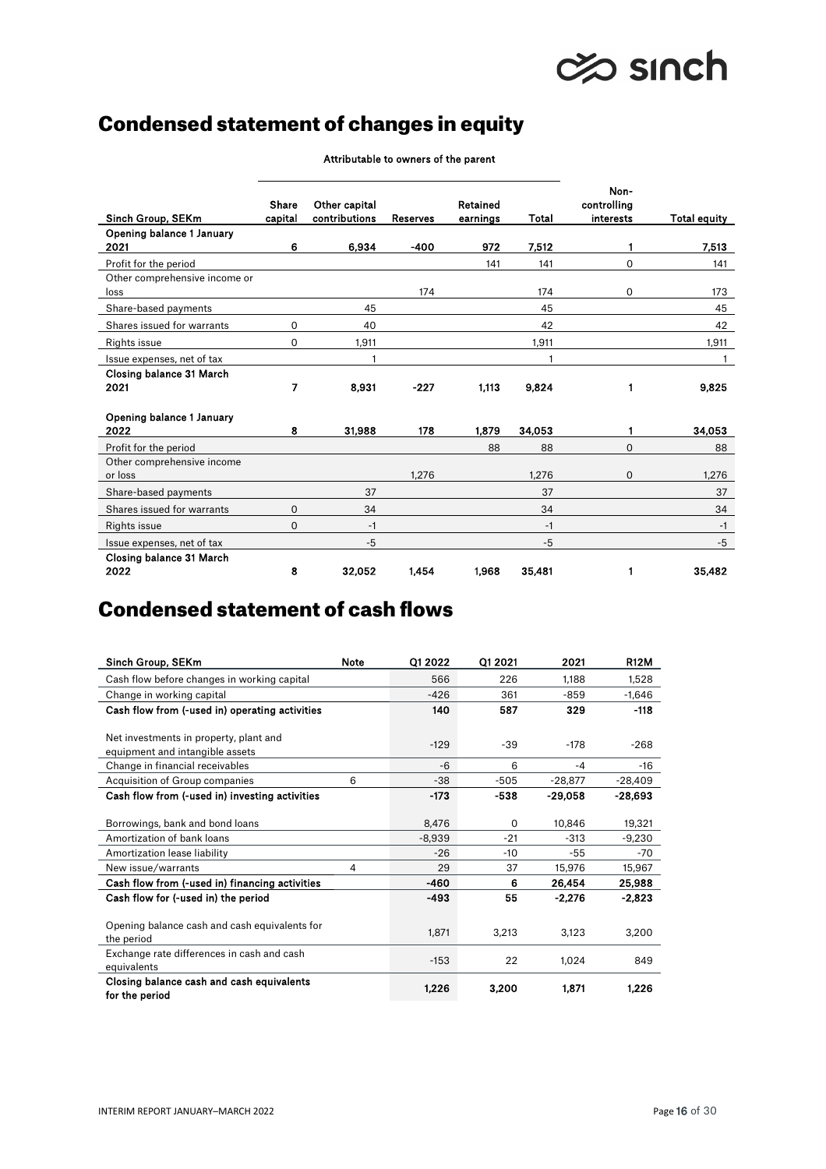# **⊘© sinch**

# Condensed statement of changes in equity

|                                   |         |               |                 |          |        | Non-        |              |
|-----------------------------------|---------|---------------|-----------------|----------|--------|-------------|--------------|
|                                   | Share   | Other capital |                 | Retained |        | controlling |              |
| Sinch Group, SEKm                 | capital | contributions | <b>Reserves</b> | earnings | Total  | interests   | Total equity |
| Opening balance 1 January<br>2021 | 6       | 6,934         | -400            | 972      | 7.512  | 1           | 7,513        |
|                                   |         |               |                 |          |        |             |              |
| Profit for the period             |         |               |                 | 141      | 141    | $\Omega$    | 141          |
| Other comprehensive income or     |         |               |                 |          |        |             |              |
| loss                              |         |               | 174             |          | 174    | 0           | 173          |
| Share-based payments              |         | 45            |                 |          | 45     |             | 45           |
| Shares issued for warrants        | 0       | 40            |                 |          | 42     |             | 42           |
| Rights issue                      | 0       | 1,911         |                 |          | 1,911  |             | 1,911        |
| Issue expenses, net of tax        |         | 1             |                 |          | 1      |             | 1            |
| Closing balance 31 March          |         |               |                 |          |        |             |              |
| 2021                              | 7       | 8,931         | $-227$          | 1,113    | 9,824  | 1           | 9,825        |
|                                   |         |               |                 |          |        |             |              |
| Opening balance 1 January         | 8       |               | 178             | 1.879    |        |             |              |
| 2022                              |         | 31,988        |                 |          | 34,053 |             | 34,053       |
| Profit for the period             |         |               |                 | 88       | 88     | $\Omega$    | 88           |
| Other comprehensive income        |         |               |                 |          |        |             |              |
| or loss                           |         |               | 1,276           |          | 1,276  | $\mathbf 0$ | 1,276        |
| Share-based payments              |         | 37            |                 |          | 37     |             | 37           |
| Shares issued for warrants        | 0       | 34            |                 |          | 34     |             | 34           |
| <b>Rights issue</b>               | 0       | $-1$          |                 |          | $-1$   |             | $-1$         |
| Issue expenses, net of tax        |         | $-5$          |                 |          | $-5$   |             | $-5$         |
| Closing balance 31 March          |         |               |                 |          |        |             |              |
| 2022                              | 8       | 32,052        | 1.454           | 1,968    | 35,481 | 1           | 35.482       |

Attributable to owners of the parent

# Condensed statement of cash flows

| Sinch Group, SEKm                                                         | <b>Note</b> | Q1 2022  | Q1 2021  | 2021      | <b>R12M</b> |
|---------------------------------------------------------------------------|-------------|----------|----------|-----------|-------------|
| Cash flow before changes in working capital                               |             | 566      | 226      | 1,188     | 1,528       |
| Change in working capital                                                 |             | $-426$   | 361      | $-859$    | $-1,646$    |
| Cash flow from (-used in) operating activities                            |             | 140      | 587      | 329       | $-118$      |
| Net investments in property, plant and<br>equipment and intangible assets |             | $-129$   | $-39$    | $-178$    | $-268$      |
| Change in financial receivables                                           |             | $-6$     | 6        | $-4$      | $-16$       |
| Acquisition of Group companies                                            | 6           | $-38$    | $-505$   | $-28,877$ | $-28,409$   |
| Cash flow from (-used in) investing activities                            |             | $-173$   | $-538$   | $-29,058$ | -28,693     |
| Borrowings, bank and bond loans                                           |             | 8,476    | $\Omega$ | 10,846    | 19,321      |
| Amortization of bank loans                                                |             | $-8,939$ | $-21$    | $-313$    | $-9,230$    |
| Amortization lease liability                                              |             | $-26$    | $-10$    | -55       | -70         |
| New issue/warrants                                                        | 4           | 29       | 37       | 15,976    | 15,967      |
| Cash flow from (-used in) financing activities                            |             | -460     | 6        | 26,454    | 25,988      |
| Cash flow for (-used in) the period                                       |             | -493     | 55       | $-2,276$  | $-2,823$    |
| Opening balance cash and cash equivalents for<br>the period               |             | 1,871    | 3,213    | 3,123     | 3,200       |
| Exchange rate differences in cash and cash<br>equivalents                 |             | $-153$   | 22       | 1.024     | 849         |
| Closing balance cash and cash equivalents<br>for the period               |             | 1,226    | 3,200    | 1,871     | 1,226       |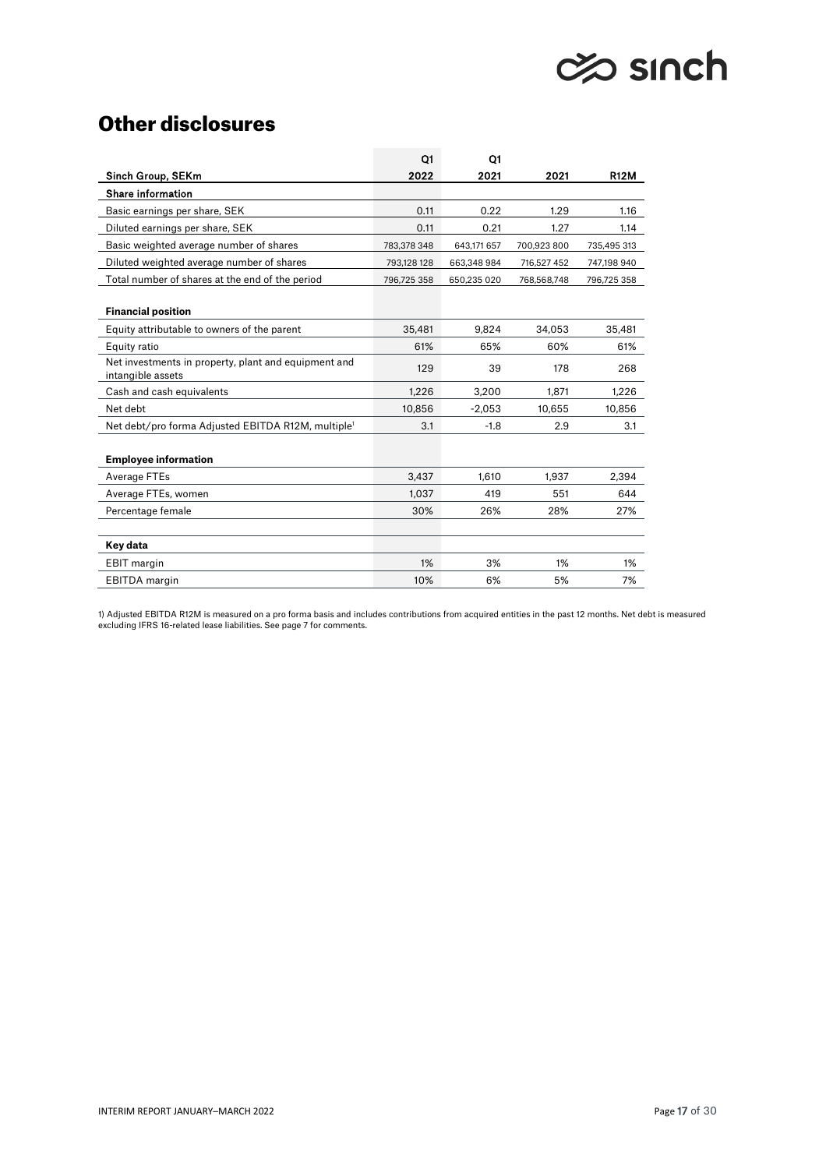# ches sinch

# Other disclosures

|                                                                           | Q1          | Q1          |             |             |
|---------------------------------------------------------------------------|-------------|-------------|-------------|-------------|
| Sinch Group, SEKm                                                         | 2022        | 2021        | 2021        | <b>R12M</b> |
| <b>Share information</b>                                                  |             |             |             |             |
| Basic earnings per share, SEK                                             | 0.11        | 0.22        | 1.29        | 1.16        |
| Diluted earnings per share, SEK                                           | 0.11        | 0.21        | 1.27        | 1.14        |
| Basic weighted average number of shares                                   | 783,378 348 | 643,171 657 | 700,923 800 | 735,495 313 |
| Diluted weighted average number of shares                                 | 793,128 128 | 663,348 984 | 716,527 452 | 747,198 940 |
| Total number of shares at the end of the period                           | 796,725 358 | 650,235 020 | 768,568,748 | 796,725 358 |
|                                                                           |             |             |             |             |
| <b>Financial position</b>                                                 |             |             |             |             |
| Equity attributable to owners of the parent                               | 35.481      | 9.824       | 34.053      | 35,481      |
| Equity ratio                                                              | 61%         | 65%         | 60%         | 61%         |
| Net investments in property, plant and equipment and<br>intangible assets | 129         | 39          | 178         | 268         |
| Cash and cash equivalents                                                 | 1,226       | 3,200       | 1.871       | 1.226       |
| Net debt                                                                  | 10,856      | $-2,053$    | 10,655      | 10,856      |
| Net debt/pro forma Adjusted EBITDA R12M, multiple <sup>1</sup>            | 3.1         | $-1.8$      | 2.9         | 3.1         |
|                                                                           |             |             |             |             |
| <b>Employee information</b>                                               |             |             |             |             |
| Average FTEs                                                              | 3,437       | 1,610       | 1,937       | 2,394       |
| Average FTEs, women                                                       | 1.037       | 419         | 551         | 644         |
| Percentage female                                                         | 30%         | 26%         | 28%         | 27%         |
|                                                                           |             |             |             |             |
| Key data                                                                  |             |             |             |             |
| <b>EBIT</b> margin                                                        | 1%          | 3%          | 1%          | 1%          |
| <b>EBITDA</b> margin                                                      | 10%         | 6%          | 5%          | 7%          |

1) Adjusted EBITDA R12M is measured on a pro forma basis and includes contributions from acquired entities in the past 12 months. Net debt is measured excluding IFRS 16-related lease liabilities. See page 7 for comments.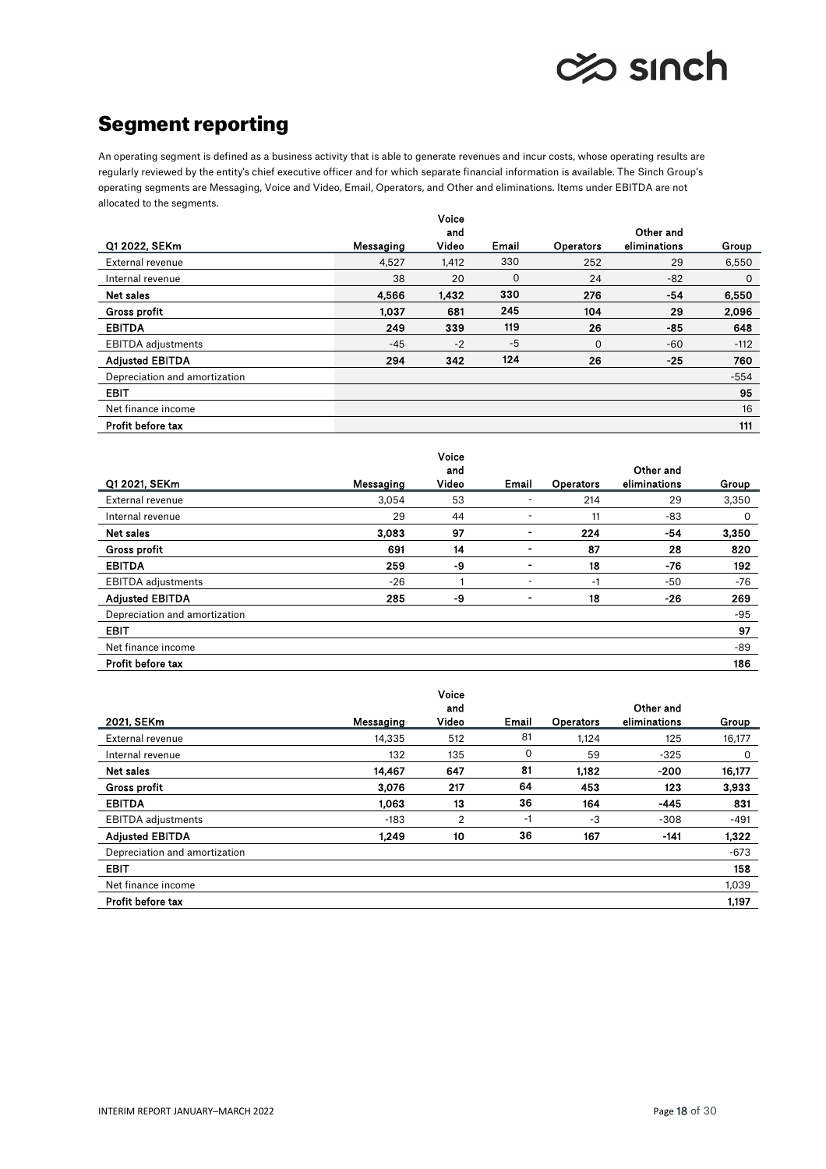

# Segment reporting

An operating segment is defined as a business activity that is able to generate revenues and incur costs, whose operating results are regularly reviewed by the entity's chief executive officer and for which separate financial information is available. The Sinch Group's operating segments are Messaging, Voice and Video, Email, Operators, and Other and eliminations. Items under EBITDA are not allocated to the segments.

|                               |           | Voice |       |                  |              |        |
|-------------------------------|-----------|-------|-------|------------------|--------------|--------|
|                               |           | and   |       |                  | Other and    |        |
| Q1 2022, SEKm                 | Messaging | Video | Email | <b>Operators</b> | eliminations | Group  |
| External revenue              | 4,527     | 1,412 | 330   | 252              | 29           | 6,550  |
| Internal revenue              | 38        | 20    | 0     | 24               | $-82$        | 0      |
| Net sales                     | 4,566     | 1,432 | 330   | 276              | $-54$        | 6,550  |
| Gross profit                  | 1.037     | 681   | 245   | 104              | 29           | 2,096  |
| <b>EBITDA</b>                 | 249       | 339   | 119   | 26               | $-85$        | 648    |
| <b>EBITDA</b> adjustments     | $-45$     | $-2$  | $-5$  | 0                | $-60$        | $-112$ |
| <b>Adjusted EBITDA</b>        | 294       | 342   | 124   | 26               | $-25$        | 760    |
| Depreciation and amortization |           |       |       |                  |              | $-554$ |
| <b>EBIT</b>                   |           |       |       |                  |              | 95     |
| Net finance income            |           |       |       |                  |              | 16     |
| Profit before tax             |           |       |       |                  |              | 111    |

|                               |           | Voice        |                |                  | Other and    |       |
|-------------------------------|-----------|--------------|----------------|------------------|--------------|-------|
| Q1 2021, SEKm                 | Messaging | and<br>Video | Email          | <b>Operators</b> | eliminations | Group |
| External revenue              | 3,054     | 53           |                | 214              | 29           | 3,350 |
| Internal revenue              | 29        | 44           |                | 11               | -83          | 0     |
| Net sales                     | 3.083     | 97           | $\blacksquare$ | 224              | $-54$        | 3,350 |
| <b>Gross profit</b>           | 691       | 14           |                | 87               | 28           | 820   |
| <b>EBITDA</b>                 | 259       | -9           |                | 18               | $-76$        | 192   |
| <b>EBITDA</b> adjustments     | $-26$     |              | ۰              | -1               | -50          | -76   |
| <b>Adjusted EBITDA</b>        | 285       | -9           |                | 18               | -26          | 269   |
| Depreciation and amortization |           |              |                |                  |              | -95   |
| <b>EBIT</b>                   |           |              |                |                  |              | 97    |
| Net finance income            |           |              |                |                  |              | -89   |
| Profit before tax             |           |              |                |                  |              | 186   |

|                               |           | Voice |       |                  |              |        |
|-------------------------------|-----------|-------|-------|------------------|--------------|--------|
|                               |           | and   |       |                  | Other and    |        |
| 2021, SEKm                    | Messaging | Video | Email | <b>Operators</b> | eliminations | Group  |
| External revenue              | 14,335    | 512   | 81    | 1,124            | 125          | 16,177 |
| Internal revenue              | 132       | 135   | 0     | 59               | $-325$       | 0      |
| Net sales                     | 14,467    | 647   | 81    | 1,182            | -200         | 16,177 |
| Gross profit                  | 3,076     | 217   | 64    | 453              | 123          | 3,933  |
| <b>EBITDA</b>                 | 1,063     | 13    | 36    | 164              | $-445$       | 831    |
| <b>EBITDA</b> adjustments     | $-183$    | 2     | -1    | -3               | $-308$       | $-491$ |
| <b>Adjusted EBITDA</b>        | 1,249     | 10    | 36    | 167              | $-141$       | 1,322  |
| Depreciation and amortization |           |       |       |                  |              | $-673$ |
| <b>EBIT</b>                   |           |       |       |                  |              | 158    |
| Net finance income            |           |       |       |                  |              | 1.039  |
| Profit before tax             |           |       |       |                  |              | 1.197  |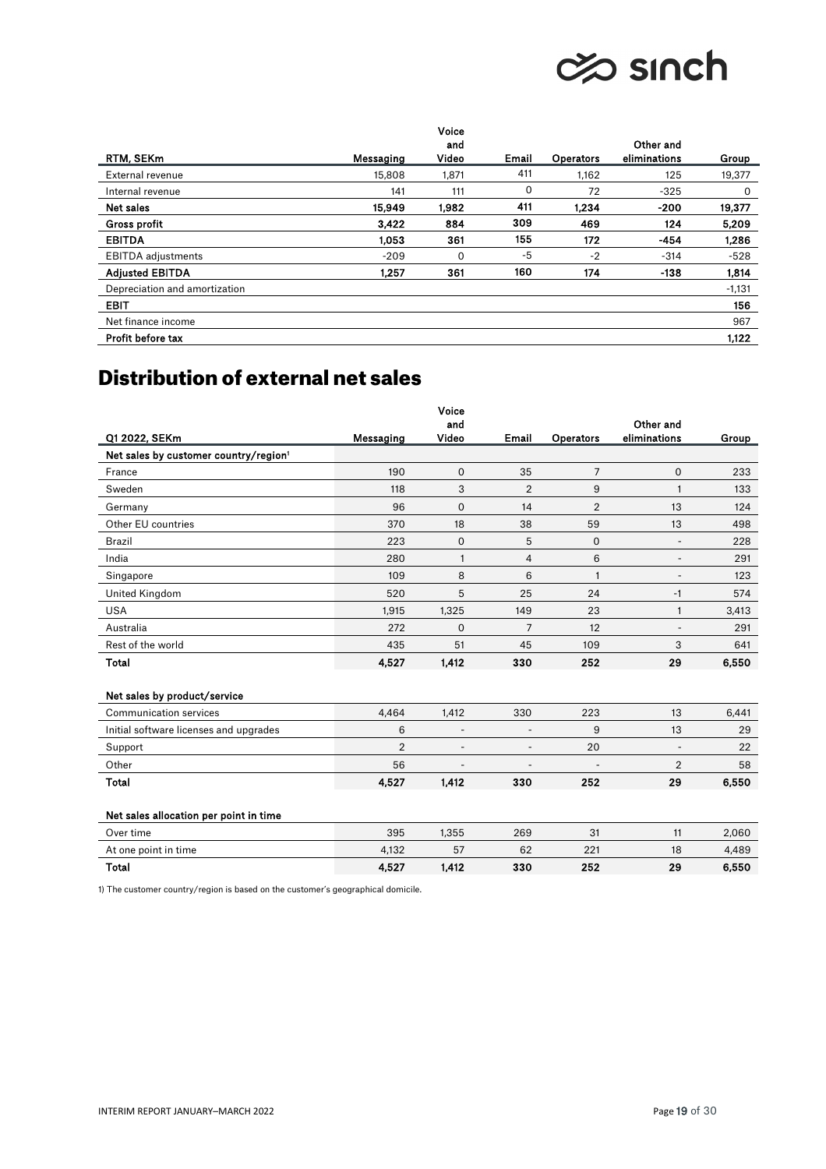# **⊘© sinch**

|                               |           | Voice |       |                  |              |          |
|-------------------------------|-----------|-------|-------|------------------|--------------|----------|
|                               |           | and   |       |                  | Other and    |          |
| RTM, SEKm                     | Messaging | Video | Email | <b>Operators</b> | eliminations | Group    |
| External revenue              | 15,808    | 1,871 | 411   | 1,162            | 125          | 19,377   |
| Internal revenue              | 141       | 111   | 0     | 72               | $-325$       | 0        |
| Net sales                     | 15,949    | 1,982 | 411   | 1,234            | $-200$       | 19,377   |
| <b>Gross profit</b>           | 3.422     | 884   | 309   | 469              | 124          | 5,209    |
| <b>EBITDA</b>                 | 1.053     | 361   | 155   | 172              | $-454$       | 1,286    |
| <b>EBITDA</b> adjustments     | $-209$    | 0     | -5    | $-2$             | $-314$       | $-528$   |
| <b>Adjusted EBITDA</b>        | 1.257     | 361   | 160   | 174              | -138         | 1,814    |
| Depreciation and amortization |           |       |       |                  |              | $-1,131$ |
| <b>EBIT</b>                   |           |       |       |                  |              | 156      |
| Net finance income            |           |       |       |                  |              | 967      |
| Profit before tax             |           |       |       |                  |              | 1,122    |

# Distribution of external net sales

|                                                   |                | Voice        |                          |                          |                           |       |
|---------------------------------------------------|----------------|--------------|--------------------------|--------------------------|---------------------------|-------|
| Q1 2022, SEKm                                     | Messaging      | and<br>Video | Email                    | Operators                | Other and<br>eliminations | Group |
| Net sales by customer country/region <sup>1</sup> |                |              |                          |                          |                           |       |
| France                                            | 190            | 0            | 35                       | $\overline{7}$           | 0                         | 233   |
| Sweden                                            | 118            | 3            | $\overline{2}$           | 9                        | 1                         | 133   |
| Germany                                           | 96             | $\mathbf 0$  | 14                       | $\overline{2}$           | 13                        | 124   |
| Other EU countries                                | 370            | 18           | 38                       | 59                       | 13                        | 498   |
| <b>Brazil</b>                                     | 223            | 0            | 5                        | 0                        | ٠                         | 228   |
| India                                             | 280            | $\mathbf{1}$ | $\overline{4}$           | 6                        | $\overline{\phantom{a}}$  | 291   |
| Singapore                                         | 109            | 8            | 6                        | $\mathbf{1}$             | ۰                         | 123   |
| United Kingdom                                    | 520            | 5            | 25                       | 24                       | $-1$                      | 574   |
| <b>USA</b>                                        | 1,915          | 1,325        | 149                      | 23                       | $\mathbf{1}$              | 3,413 |
| Australia                                         | 272            | 0            | 7                        | 12                       | $\overline{a}$            | 291   |
| Rest of the world                                 | 435            | 51           | 45                       | 109                      | 3                         | 641   |
| <b>Total</b>                                      | 4,527          | 1,412        | 330                      | 252                      | 29                        | 6,550 |
| Net sales by product/service                      |                |              |                          |                          |                           |       |
| Communication services                            | 4,464          | 1,412        | 330                      | 223                      | 13                        | 6,441 |
| Initial software licenses and upgrades            | 6              | ٠            | $\overline{\phantom{a}}$ | 9                        | 13                        | 29    |
| Support                                           | $\overline{2}$ | ٠            | $\overline{a}$           | 20                       |                           | 22    |
| Other                                             | 56             | ٠            |                          | $\overline{\phantom{a}}$ | $\overline{2}$            | 58    |
| <b>Total</b>                                      | 4,527          | 1,412        | 330                      | 252                      | 29                        | 6,550 |
| Net sales allocation per point in time            |                |              |                          |                          |                           |       |
| Over time                                         | 395            | 1,355        | 269                      | 31                       | 11                        | 2.060 |
| At one point in time                              | 4,132          | 57           | 62                       | 221                      | 18                        | 4,489 |
| <b>Total</b>                                      | 4,527          | 1,412        | 330                      | 252                      | 29                        | 6,550 |

1) The customer country/region is based on the customer's geographical domicile.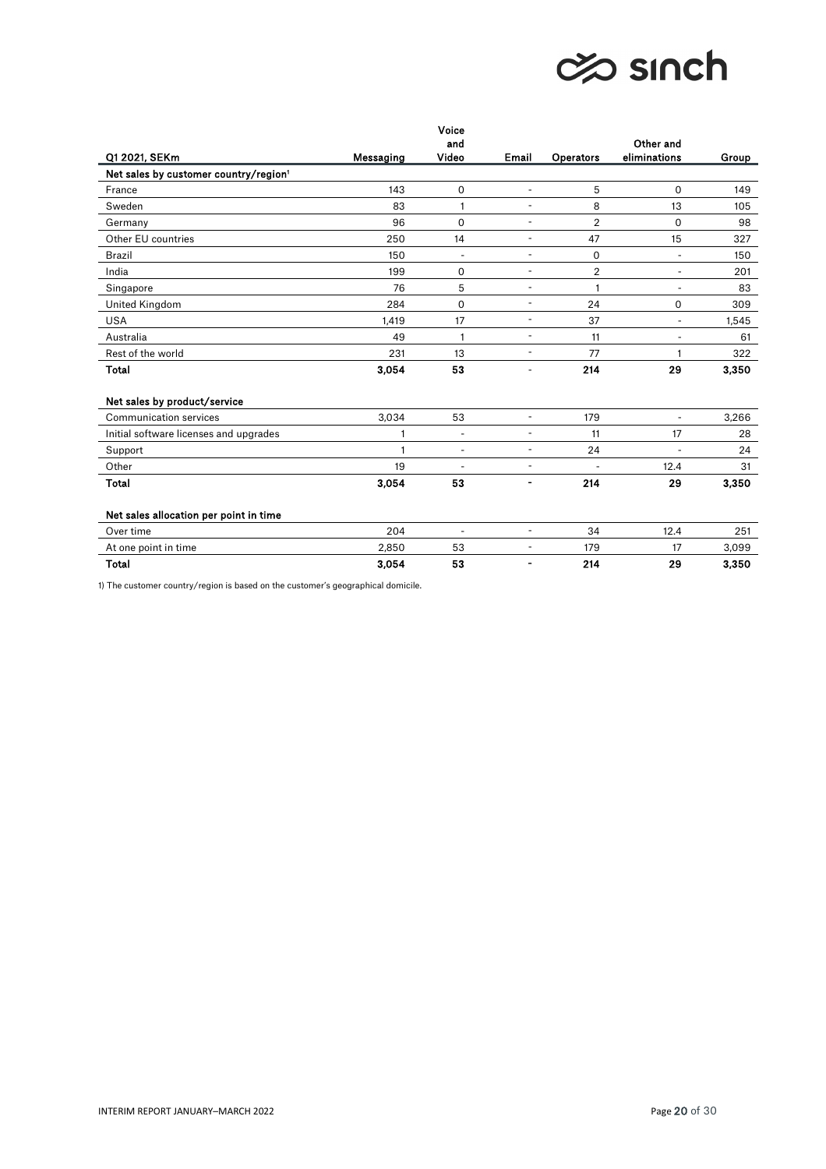

|                                                   |              | Voice                    |                          |                |                           |       |
|---------------------------------------------------|--------------|--------------------------|--------------------------|----------------|---------------------------|-------|
| Q1 2021, SEKm                                     | Messaging    | and<br>Video             | Email                    | Operators      | Other and<br>eliminations | Group |
| Net sales by customer country/region <sup>1</sup> |              |                          |                          |                |                           |       |
| France                                            | 143          | 0                        | $\overline{\phantom{a}}$ | 5              | $\Omega$                  | 149   |
| Sweden                                            | 83           | 1                        | ÷,                       | 8              | 13                        | 105   |
| Germany                                           | 96           | $\Omega$                 | $\blacksquare$           | $\overline{2}$ | $\Omega$                  | 98    |
| Other EU countries                                | 250          | 14                       | $\overline{\phantom{a}}$ | 47             | 15                        | 327   |
| <b>Brazil</b>                                     | 150          | ÷                        | ä,                       | $\mathbf 0$    | $\overline{a}$            | 150   |
| India                                             | 199          | 0                        | $\overline{\phantom{a}}$ | $\overline{2}$ | $\blacksquare$            | 201   |
| Singapore                                         | 76           | 5                        | $\overline{\phantom{a}}$ | $\mathbf{1}$   | $\overline{\phantom{a}}$  | 83    |
| United Kingdom                                    | 284          | 0                        | ÷,                       | 24             | 0                         | 309   |
| <b>USA</b>                                        | 1,419        | 17                       | ÷,                       | 37             | $\overline{\phantom{a}}$  | 1,545 |
| Australia                                         | 49           | 1                        | $\overline{\phantom{a}}$ | 11             | $\overline{\phantom{a}}$  | 61    |
| Rest of the world                                 | 231          | 13                       | ÷,                       | 77             | 1                         | 322   |
| <b>Total</b>                                      | 3,054        | 53                       | ۰                        | 214            | 29                        | 3,350 |
| Net sales by product/service                      |              |                          |                          |                |                           |       |
| Communication services                            | 3,034        | 53                       | ÷,                       | 179            | $\blacksquare$            | 3,266 |
| Initial software licenses and upgrades            | $\mathbf{1}$ | $\overline{\phantom{a}}$ | ۰                        | 11             | 17                        | 28    |
| Support                                           | $\mathbf{1}$ | $\overline{\phantom{a}}$ | ÷,                       | 24             |                           | 24    |
| Other                                             | 19           | $\overline{\phantom{a}}$ | ÷,                       | $\blacksquare$ | 12.4                      | 31    |
| <b>Total</b>                                      | 3,054        | 53                       | -                        | 214            | 29                        | 3,350 |
| Net sales allocation per point in time            |              |                          |                          |                |                           |       |
| Over time                                         | 204          | ÷,                       | ÷,                       | 34             | 12.4                      | 251   |
| At one point in time                              | 2,850        | 53                       | $\overline{a}$           | 179            | 17                        | 3,099 |
| <b>Total</b>                                      | 3,054        | 53                       |                          | 214            | 29                        | 3.350 |

1) The customer country/region is based on the customer's geographical domicile.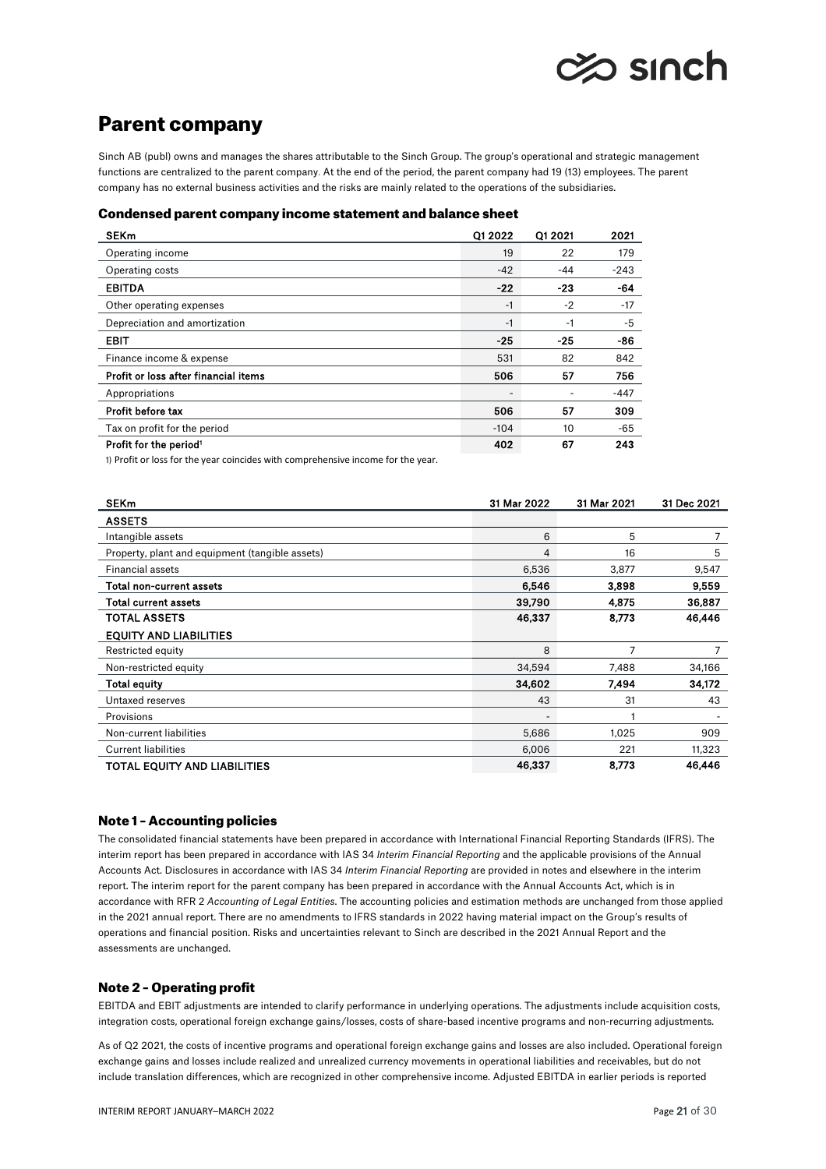

# Parent company

Sinch AB (publ) owns and manages the shares attributable to the Sinch Group. The group's operational and strategic management functions are centralized to the parent company. At the end of the period, the parent company had 19 (13) employees. The parent company has no external business activities and the risks are mainly related to the operations of the subsidiaries.

### Condensed parent company income statement and balance sheet

| <b>SEKm</b>                          | Q1 2022                  | Q1 2021 | 2021   |
|--------------------------------------|--------------------------|---------|--------|
| Operating income                     | 19                       | 22      | 179    |
| Operating costs                      | $-42$                    | -44     | $-243$ |
| <b>EBITDA</b>                        | $-22$                    | $-23$   | $-64$  |
| Other operating expenses             | -1                       | $-2$    | $-17$  |
| Depreciation and amortization        | -1                       | -1      | -5     |
| <b>EBIT</b>                          | $-25$                    | $-25$   | -86    |
| Finance income & expense             | 531                      | 82      | 842    |
| Profit or loss after financial items | 506                      | 57      | 756    |
| Appropriations                       | $\overline{\phantom{a}}$ |         | $-447$ |
| Profit before tax                    | 506                      | 57      | 309    |
| Tax on profit for the period         | $-104$                   | 10      | -65    |
| Profit for the period <sup>1</sup>   | 402                      | 67      | 243    |

1) Profit or loss for the year coincides with comprehensive income for the year.

| <b>SEKm</b>                                     | 31 Mar 2022 | 31 Mar 2021 | 31 Dec 2021 |
|-------------------------------------------------|-------------|-------------|-------------|
| <b>ASSETS</b>                                   |             |             |             |
| Intangible assets                               | 6           | 5           | 7           |
| Property, plant and equipment (tangible assets) | 4           | 16          | 5           |
| <b>Financial assets</b>                         | 6,536       | 3,877       | 9,547       |
| Total non-current assets                        | 6,546       | 3,898       | 9,559       |
| Total current assets                            | 39,790      | 4,875       | 36,887      |
| <b>TOTAL ASSETS</b>                             | 46,337      | 8,773       | 46,446      |
| <b>EQUITY AND LIABILITIES</b>                   |             |             |             |
| Restricted equity                               | 8           | 7           |             |
| Non-restricted equity                           | 34,594      | 7,488       | 34,166      |
| Total equity                                    | 34,602      | 7,494       | 34,172      |
| Untaxed reserves                                | 43          | 31          | 43          |
| Provisions                                      |             |             |             |
| Non-current liabilities                         | 5,686       | 1,025       | 909         |
| <b>Current liabilities</b>                      | 6,006       | 221         | 11,323      |
| <b>TOTAL EQUITY AND LIABILITIES</b>             | 46,337      | 8,773       | 46,446      |

# Note 1 – Accounting policies

The consolidated financial statements have been prepared in accordance with International Financial Reporting Standards (IFRS). The interim report has been prepared in accordance with IAS 34 *Interim Financial Reporting* and the applicable provisions of the Annual Accounts Act. Disclosures in accordance with IAS 34 *Interim Financial Reporting* are provided in notes and elsewhere in the interim report. The interim report for the parent company has been prepared in accordance with the Annual Accounts Act, which is in accordance with RFR 2 *Accounting of Legal Entities*. The accounting policies and estimation methods are unchanged from those applied in the 2021 annual report. There are no amendments to IFRS standards in 2022 having material impact on the Group's results of operations and financial position. Risks and uncertainties relevant to Sinch are described in the 2021 Annual Report and the assessments are unchanged.

# Note 2 – Operating profit

EBITDA and EBIT adjustments are intended to clarify performance in underlying operations. The adjustments include acquisition costs, integration costs, operational foreign exchange gains/losses, costs of share-based incentive programs and non-recurring adjustments.

As of Q2 2021, the costs of incentive programs and operational foreign exchange gains and losses are also included. Operational foreign exchange gains and losses include realized and unrealized currency movements in operational liabilities and receivables, but do not include translation differences, which are recognized in other comprehensive income. Adjusted EBITDA in earlier periods is reported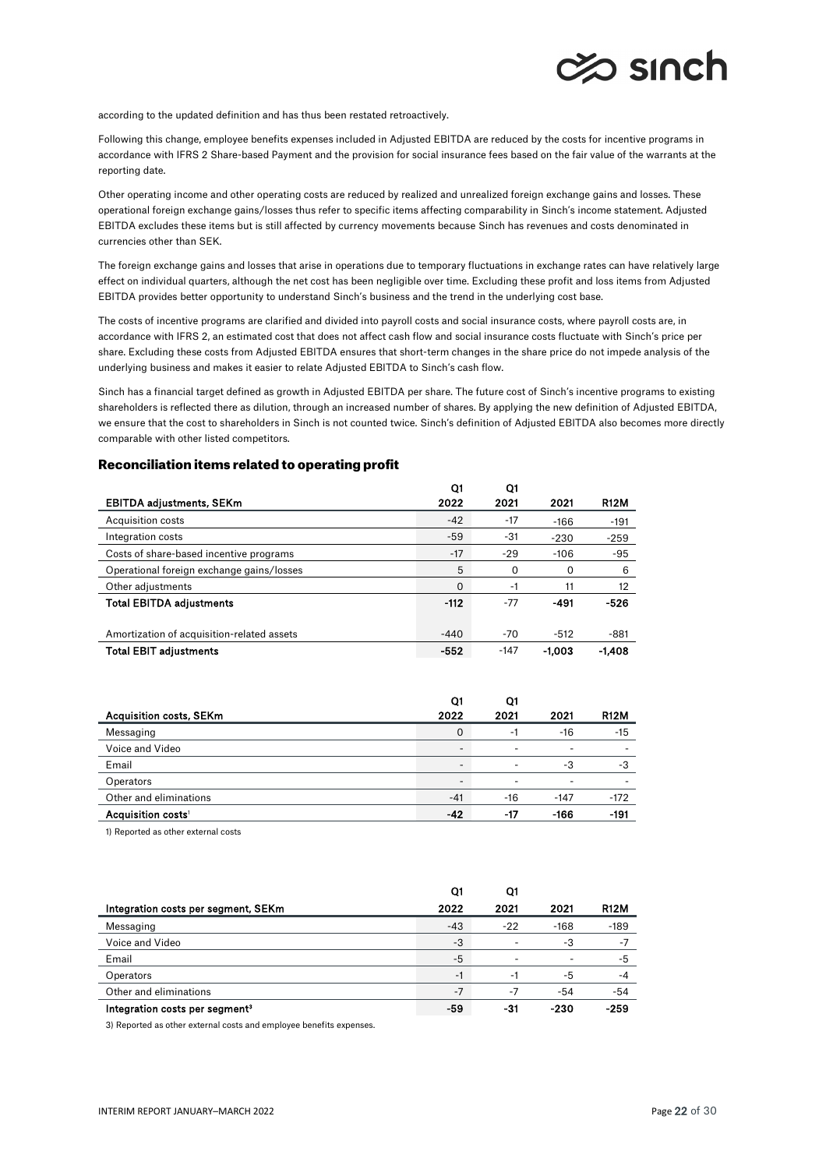

according to the updated definition and has thus been restated retroactively.

Following this change, employee benefits expenses included in Adjusted EBITDA are reduced by the costs for incentive programs in accordance with IFRS 2 Share-based Payment and the provision for social insurance fees based on the fair value of the warrants at the reporting date.

Other operating income and other operating costs are reduced by realized and unrealized foreign exchange gains and losses. These operational foreign exchange gains/losses thus refer to specific items affecting comparability in Sinch's income statement. Adjusted EBITDA excludes these items but is still affected by currency movements because Sinch has revenues and costs denominated in currencies other than SEK.

The foreign exchange gains and losses that arise in operations due to temporary fluctuations in exchange rates can have relatively large effect on individual quarters, although the net cost has been negligible over time. Excluding these profit and loss items from Adjusted EBITDA provides better opportunity to understand Sinch's business and the trend in the underlying cost base.

The costs of incentive programs are clarified and divided into payroll costs and social insurance costs, where payroll costs are, in accordance with IFRS 2, an estimated cost that does not affect cash flow and social insurance costs fluctuate with Sinch's price per share. Excluding these costs from Adjusted EBITDA ensures that short-term changes in the share price do not impede analysis of the underlying business and makes it easier to relate Adjusted EBITDA to Sinch's cash flow.

Sinch has a financial target defined as growth in Adjusted EBITDA per share. The future cost of Sinch's incentive programs to existing shareholders is reflected there as dilution, through an increased number of shares. By applying the new definition of Adjusted EBITDA, we ensure that the cost to shareholders in Sinch is not counted twice. Sinch's definition of Adjusted EBITDA also becomes more directly comparable with other listed competitors.

## Reconciliation items related to operating profit

|                                            | O1     | Q1       |        |             |
|--------------------------------------------|--------|----------|--------|-------------|
| <b>EBITDA adjustments, SEKm</b>            | 2022   | 2021     | 2021   | <b>R12M</b> |
| Acquisition costs                          | $-42$  | $-17$    | $-166$ | $-191$      |
| Integration costs                          | -59    | -31      | $-230$ | $-259$      |
| Costs of share-based incentive programs    | $-17$  | $-29$    | $-106$ | $-95$       |
| Operational foreign exchange gains/losses  | 5      | $\Omega$ | 0      | 6           |
| Other adjustments                          | 0      | -1       | 11     | 12          |
| <b>Total EBITDA adjustments</b>            | $-112$ | $-77$    | -491   | -526        |
|                                            |        |          |        |             |
| Amortization of acquisition-related assets | $-440$ | $-70$    | $-512$ | -881        |
| <b>Total EBIT adjustments</b>              | $-552$ | $-147$   | -1.003 | $-1.408$    |

|                                | Q1                       | Q1                       |        |             |
|--------------------------------|--------------------------|--------------------------|--------|-------------|
| <b>Acquisition costs, SEKm</b> | 2022                     | 2021                     | 2021   | <b>R12M</b> |
| Messaging                      | 0                        | -1                       | $-16$  | -15         |
| Voice and Video                | $\overline{\phantom{a}}$ | $\sim$                   | -      |             |
| Email                          |                          | $\overline{\phantom{a}}$ | -3     | -3          |
| <b>Operators</b>               |                          | $\overline{\phantom{0}}$ |        |             |
| Other and eliminations         | $-41$                    | $-16$                    | $-147$ | $-172$      |
| Acquisition costs <sup>1</sup> | $-42$                    | $-17$                    | $-166$ | $-191$      |

1) Reported as other external costs

|                                            | Q1    | Ο1    |        |             |
|--------------------------------------------|-------|-------|--------|-------------|
| Integration costs per segment, SEKm        | 2022  | 2021  | 2021   | <b>R12M</b> |
| Messaging                                  | $-43$ | $-22$ | $-168$ | $-189$      |
| Voice and Video                            | -3    | ٠     | -3     | $-7$        |
| Email                                      | -5    | ٠     |        | $-5$        |
| Operators                                  | -1    | -1    | -5     | $-4$        |
| Other and eliminations                     | $-7$  | -7    | -54    | -54         |
| Integration costs per segment <sup>3</sup> | -59   | -31   | -230   | $-259$      |

3) Reported as other external costs and employee benefits expenses.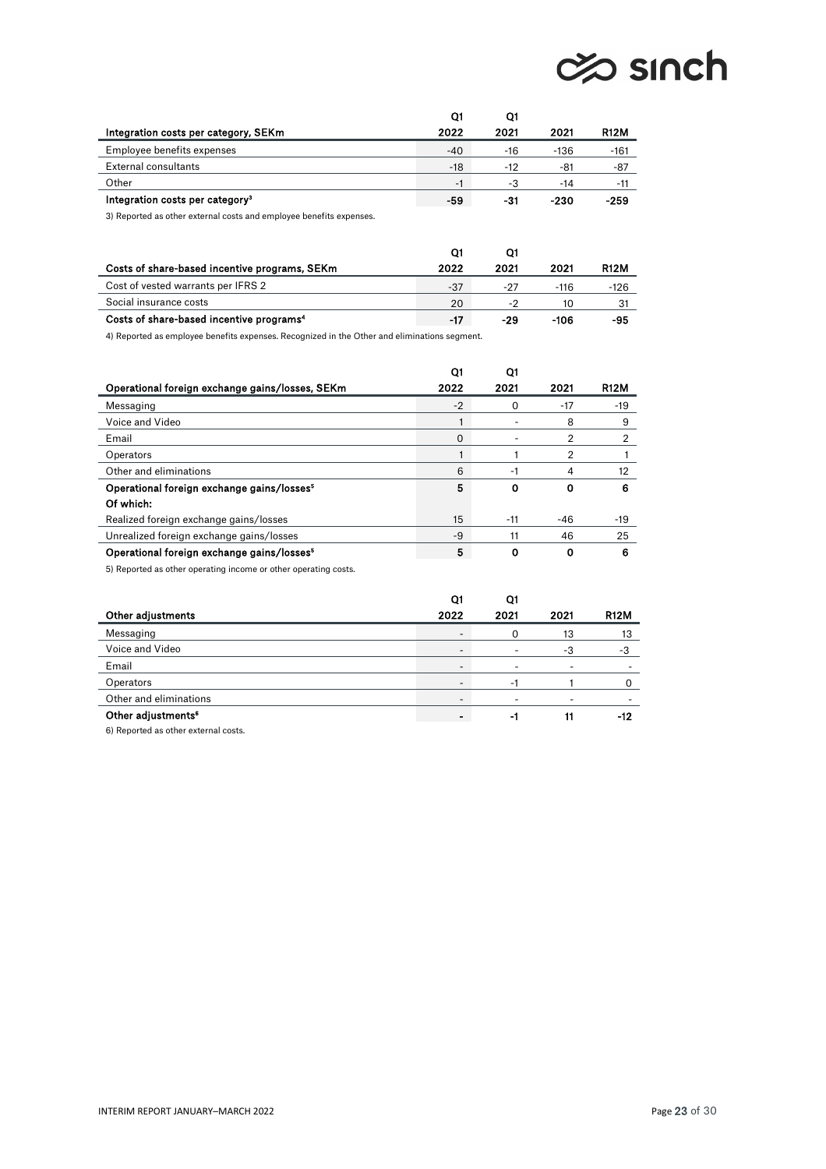# ches sinch

|                                             | Q1    | O1    |        |             |
|---------------------------------------------|-------|-------|--------|-------------|
| Integration costs per category, SEKm        | 2022  | 2021  | 2021   | <b>R12M</b> |
| Employee benefits expenses                  | $-40$ | -16   | $-136$ | $-161$      |
| <b>External consultants</b>                 | $-18$ | $-12$ | -81    | -87         |
| Other                                       | $-1$  | -3    | -14    | -11         |
| Integration costs per category <sup>3</sup> | -59   | -31   | -230   | $-259$      |

3) Reported as other external costs and employee benefits expenses.

| Costs of share-based incentive programs, SEKm                                                | 2022 | 2021 | 2021 | <b>R12M</b> |
|----------------------------------------------------------------------------------------------|------|------|------|-------------|
| Cost of vested warrants per IFRS 2                                                           | -37  | -27  | -116 | -126        |
| Social insurance costs                                                                       | 20   |      | 10   | -31         |
| Costs of share-based incentive programs <sup>4</sup>                                         | -17  | -29  | -106 | -95         |
| A) Denomed as anotherical bonafits according Denominad in the Other and aliminations commons |      |      |      |             |

4) Reported as employee benefits expenses. Recognized in the Other and eliminations segment.

|                                                        | O1   | O.    |       |             |
|--------------------------------------------------------|------|-------|-------|-------------|
| Operational foreign exchange gains/losses, SEKm        | 2022 | 2021  | 2021  | <b>R12M</b> |
| Messaging                                              | $-2$ | 0     | $-17$ | $-19$       |
| Voice and Video                                        |      |       | 8     | 9           |
| Email                                                  | 0    |       | 2     | 2           |
| Operators                                              |      |       | 2     |             |
| Other and eliminations                                 | 6    | -1    | 4     | 12          |
| Operational foreign exchange gains/losses <sup>5</sup> | 5    | 0     | Ω     | 6           |
| Of which:                                              |      |       |       |             |
| Realized foreign exchange gains/losses                 | 15   | $-11$ | -46   | $-19$       |
| Unrealized foreign exchange gains/losses               | -9   | 11    | 46    | 25          |
| Operational foreign exchange gains/losses <sup>5</sup> | 5    | 0     | O     | 6           |

5) Reported as other operating income or other operating costs.

|                                | Q1                       | Q1   |      |             |
|--------------------------------|--------------------------|------|------|-------------|
| Other adjustments              | 2022                     | 2021 | 2021 | <b>R12M</b> |
| Messaging                      | $\overline{\phantom{a}}$ | 0    | 13   | 13          |
| Voice and Video                |                          | ٠    | -3   |             |
| Email                          |                          | ۰    |      |             |
| Operators                      |                          |      |      |             |
| Other and eliminations         |                          | -    |      |             |
| Other adjustments <sup>6</sup> |                          | -1   | 11   | -12         |

6) Reported as other external costs.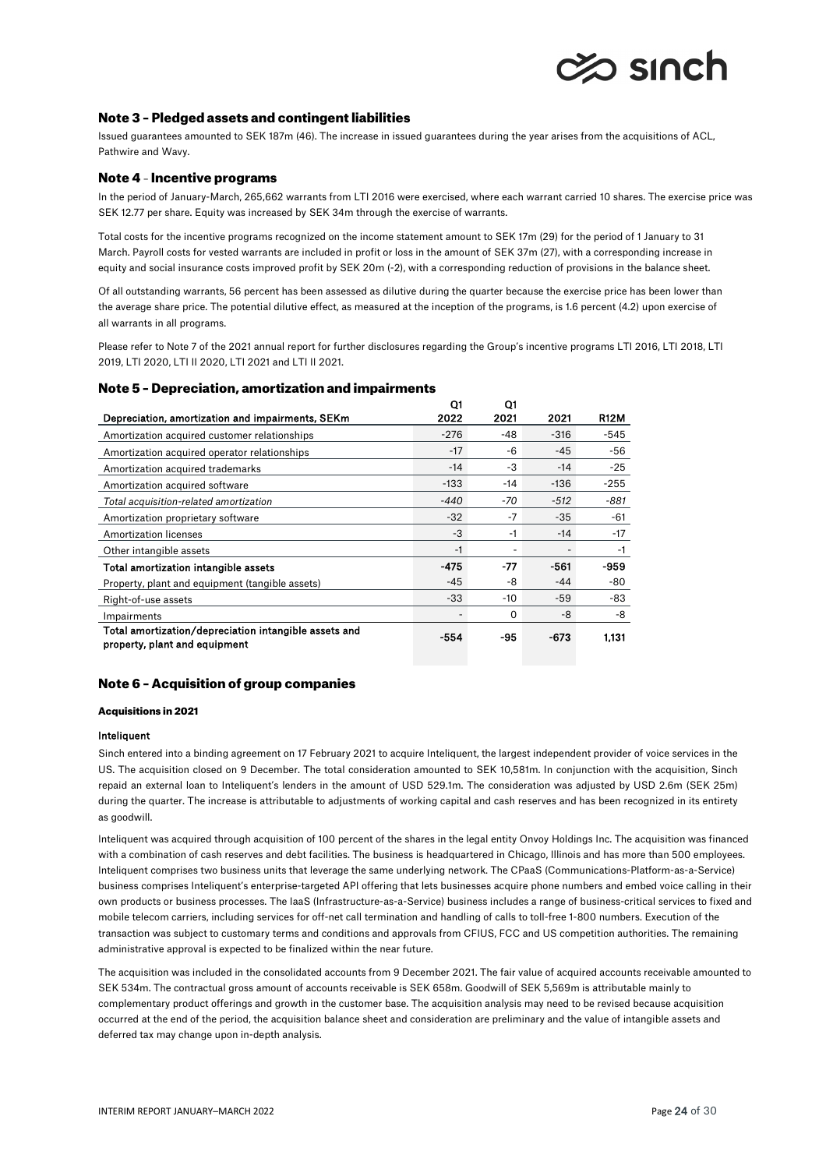

## Note 3 – Pledged assets and contingent liabilities

Issued guarantees amounted to SEK 187m (46). The increase in issued guarantees during the year arises from the acquisitions of ACL, Pathwire and Wavy.

## Note 4 – Incentive programs

In the period of January-March, 265,662 warrants from LTI 2016 were exercised, where each warrant carried 10 shares. The exercise price was SEK 12.77 per share. Equity was increased by SEK 34m through the exercise of warrants.

Total costs for the incentive programs recognized on the income statement amount to SEK 17m (29) for the period of 1 January to 31 March. Payroll costs for vested warrants are included in profit or loss in the amount of SEK 37m (27), with a corresponding increase in equity and social insurance costs improved profit by SEK 20m (-2), with a corresponding reduction of provisions in the balance sheet.

Of all outstanding warrants, 56 percent has been assessed as dilutive during the quarter because the exercise price has been lower than the average share price. The potential dilutive effect, as measured at the inception of the programs, is 1.6 percent (4.2) upon exercise of all warrants in all programs.

Please refer to Note 7 of the 2021 annual report for further disclosures regarding the Group's incentive programs LTI 2016, LTI 2018, LTI 2019, LTI 2020, LTI II 2020, LTI 2021 and LTI II 2021.

### Note 5 – Depreciation, amortization and impairments

|                                                                                        | Q1     | Q1       |        |             |
|----------------------------------------------------------------------------------------|--------|----------|--------|-------------|
| Depreciation, amortization and impairments, SEKm                                       | 2022   | 2021     | 2021   | <b>R12M</b> |
| Amortization acquired customer relationships                                           | $-276$ | -48      | $-316$ | -545        |
| Amortization acquired operator relationships                                           | $-17$  | -6       | $-45$  | -56         |
| Amortization acquired trademarks                                                       | $-14$  | $-3$     | $-14$  | $-25$       |
| Amortization acquired software                                                         | $-133$ | $-14$    | $-136$ | $-255$      |
| Total acquisition-related amortization                                                 | $-440$ | -70      | $-512$ | $-881$      |
| Amortization proprietary software                                                      | $-32$  | $-7$     | $-35$  | -61         |
| <b>Amortization licenses</b>                                                           | -3     | -1       | $-14$  | $-17$       |
| Other intangible assets                                                                | $-1$   | ٠        |        | -1          |
| Total amortization intangible assets                                                   | -475   | -77      | -561   | -959        |
| Property, plant and equipment (tangible assets)                                        | $-45$  | -8       | $-44$  | -80         |
| Right-of-use assets                                                                    | $-33$  | -10      | $-59$  | -83         |
| Impairments                                                                            |        | $\Omega$ | -8     | -8          |
| Total amortization/depreciation intangible assets and<br>property, plant and equipment | -554   | -95      | -673   | 1.131       |

### Note 6 – Acquisition of group companies

#### Acquisitions in 2021

#### Inteliquent

Sinch entered into a binding agreement on 17 February 2021 to acquire Inteliquent, the largest independent provider of voice services in the US. The acquisition closed on 9 December. The total consideration amounted to SEK 10,581m. In conjunction with the acquisition, Sinch repaid an external loan to Inteliquent's lenders in the amount of USD 529.1m. The consideration was adjusted by USD 2.6m (SEK 25m) during the quarter. The increase is attributable to adjustments of working capital and cash reserves and has been recognized in its entirety as goodwill.

Inteliquent was acquired through acquisition of 100 percent of the shares in the legal entity Onvoy Holdings Inc. The acquisition was financed with a combination of cash reserves and debt facilities. The business is headquartered in Chicago, Illinois and has more than 500 employees. Inteliquent comprises two business units that leverage the same underlying network. The CPaaS (Communications-Platform-as-a-Service) business comprises Inteliquent's enterprise-targeted API offering that lets businesses acquire phone numbers and embed voice calling in their own products or business processes. The IaaS (Infrastructure-as-a-Service) business includes a range of business-critical services to fixed and mobile telecom carriers, including services for off-net call termination and handling of calls to toll-free 1-800 numbers. Execution of the transaction was subject to customary terms and conditions and approvals from CFIUS, FCC and US competition authorities. The remaining administrative approval is expected to be finalized within the near future.

The acquisition was included in the consolidated accounts from 9 December 2021. The fair value of acquired accounts receivable amounted to SEK 534m. The contractual gross amount of accounts receivable is SEK 658m. Goodwill of SEK 5,569m is attributable mainly to complementary product offerings and growth in the customer base. The acquisition analysis may need to be revised because acquisition occurred at the end of the period, the acquisition balance sheet and consideration are preliminary and the value of intangible assets and deferred tax may change upon in-depth analysis.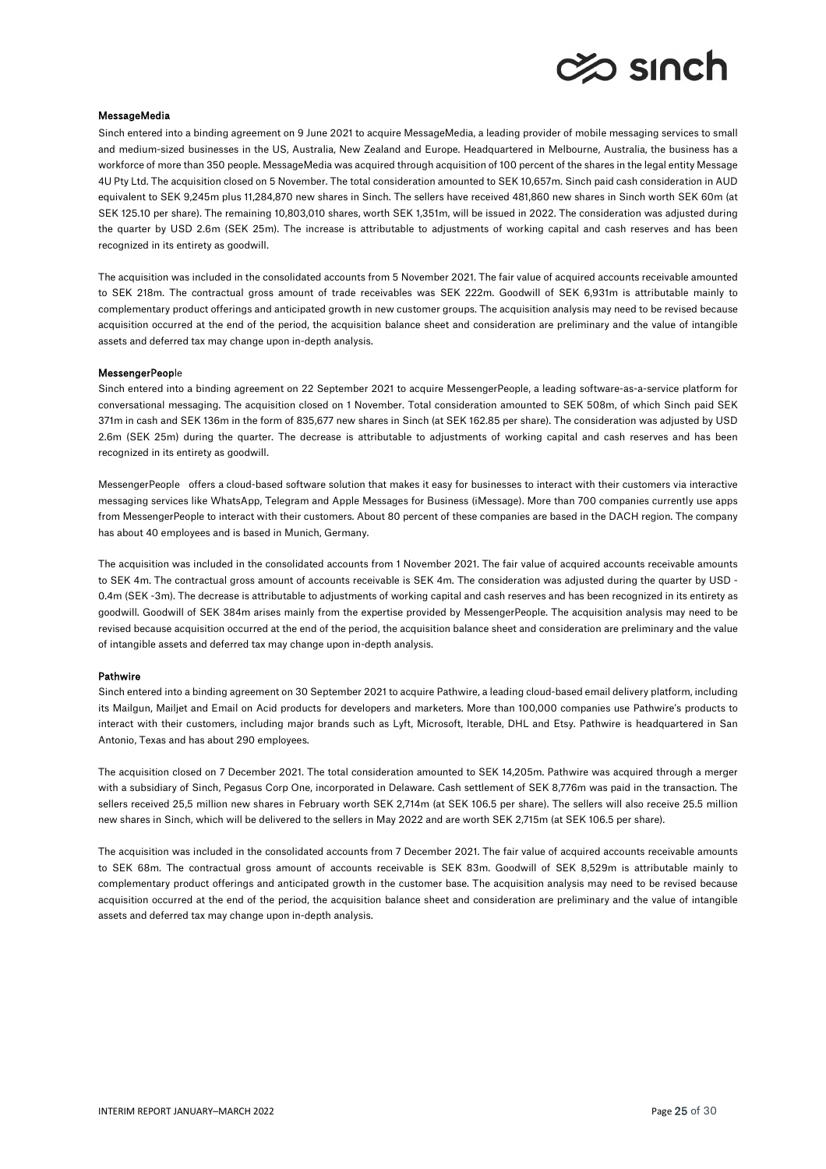

#### MessageMedia

Sinch entered into a binding agreement on 9 June 2021 to acquire MessageMedia, a leading provider of mobile messaging services to small and medium-sized businesses in the US, Australia, New Zealand and Europe. Headquartered in Melbourne, Australia, the business has a workforce of more than 350 people. MessageMedia was acquired through acquisition of 100 percent of the shares in the legal entity Message 4U Pty Ltd. The acquisition closed on 5 November. The total consideration amounted to SEK 10,657m. Sinch paid cash consideration in AUD equivalent to SEK 9,245m plus 11,284,870 new shares in Sinch. The sellers have received 481,860 new shares in Sinch worth SEK 60m (at SEK 125.10 per share). The remaining 10,803,010 shares, worth SEK 1,351m, will be issued in 2022. The consideration was adjusted during the quarter by USD 2.6m (SEK 25m). The increase is attributable to adjustments of working capital and cash reserves and has been recognized in its entirety as goodwill.

The acquisition was included in the consolidated accounts from 5 November 2021. The fair value of acquired accounts receivable amounted to SEK 218m. The contractual gross amount of trade receivables was SEK 222m. Goodwill of SEK 6,931m is attributable mainly to complementary product offerings and anticipated growth in new customer groups. The acquisition analysis may need to be revised because acquisition occurred at the end of the period, the acquisition balance sheet and consideration are preliminary and the value of intangible assets and deferred tax may change upon in-depth analysis.

#### MessengerPeople

Sinch entered into a binding agreement on 22 September 2021 to acquire MessengerPeople, a leading software-as-a-service platform for conversational messaging. The acquisition closed on 1 November. Total consideration amounted to SEK 508m, of which Sinch paid SEK 371m in cash and SEK 136m in the form of 835,677 new shares in Sinch (at SEK 162.85 per share). The consideration was adjusted by USD 2.6m (SEK 25m) during the quarter. The decrease is attributable to adjustments of working capital and cash reserves and has been recognized in its entirety as goodwill.

MessengerPeople offers a cloud-based software solution that makes it easy for businesses to interact with their customers via interactive messaging services like WhatsApp, Telegram and Apple Messages for Business (iMessage). More than 700 companies currently use apps from MessengerPeople to interact with their customers. About 80 percent of these companies are based in the DACH region. The company has about 40 employees and is based in Munich, Germany.

The acquisition was included in the consolidated accounts from 1 November 2021. The fair value of acquired accounts receivable amounts to SEK 4m. The contractual gross amount of accounts receivable is SEK 4m. The consideration was adjusted during the quarter by USD - 0.4m (SEK -3m). The decrease is attributable to adjustments of working capital and cash reserves and has been recognized in its entirety as goodwill. Goodwill of SEK 384m arises mainly from the expertise provided by MessengerPeople. The acquisition analysis may need to be revised because acquisition occurred at the end of the period, the acquisition balance sheet and consideration are preliminary and the value of intangible assets and deferred tax may change upon in-depth analysis.

#### Pathwire

Sinch entered into a binding agreement on 30 September 2021 to acquire Pathwire, a leading cloud-based email delivery platform, including its Mailgun, Mailjet and Email on Acid products for developers and marketers. More than 100,000 companies use Pathwire's products to interact with their customers, including major brands such as Lyft, Microsoft, Iterable, DHL and Etsy. Pathwire is headquartered in San Antonio, Texas and has about 290 employees.

The acquisition closed on 7 December 2021. The total consideration amounted to SEK 14,205m. Pathwire was acquired through a merger with a subsidiary of Sinch, Pegasus Corp One, incorporated in Delaware. Cash settlement of SEK 8,776m was paid in the transaction. The sellers received 25,5 million new shares in February worth SEK 2,714m (at SEK 106.5 per share). The sellers will also receive 25.5 million new shares in Sinch, which will be delivered to the sellers in May 2022 and are worth SEK 2,715m (at SEK 106.5 per share).

The acquisition was included in the consolidated accounts from 7 December 2021. The fair value of acquired accounts receivable amounts to SEK 68m. The contractual gross amount of accounts receivable is SEK 83m. Goodwill of SEK 8,529m is attributable mainly to complementary product offerings and anticipated growth in the customer base. The acquisition analysis may need to be revised because acquisition occurred at the end of the period, the acquisition balance sheet and consideration are preliminary and the value of intangible assets and deferred tax may change upon in-depth analysis.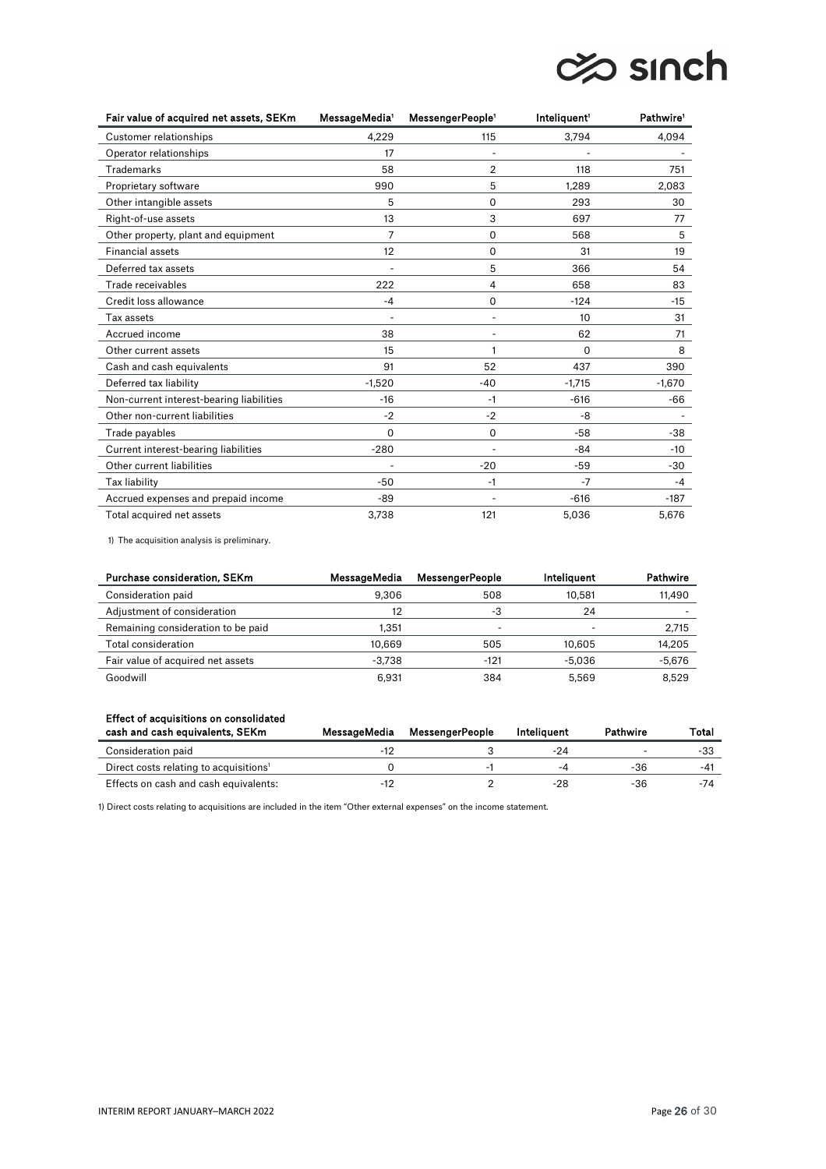# ches sinch

| Fair value of acquired net assets, SEKm  | MessageMedia <sup>1</sup> | MessengerPeople <sup>1</sup> | Inteliquent <sup>1</sup> | Pathwire <sup>1</sup> |
|------------------------------------------|---------------------------|------------------------------|--------------------------|-----------------------|
| Customer relationships                   | 4.229                     | 115                          | 3,794                    | 4,094                 |
| Operator relationships                   | 17                        |                              |                          |                       |
| Trademarks                               | 58                        | $\overline{2}$               | 118                      | 751                   |
| Proprietary software                     | 990                       | 5                            | 1,289                    | 2,083                 |
| Other intangible assets                  | 5                         | 0                            | 293                      | 30                    |
| Right-of-use assets                      | 13                        | 3                            | 697                      | 77                    |
| Other property, plant and equipment      | 7                         | 0                            | 568                      | 5                     |
| <b>Financial assets</b>                  | 12                        | $\Omega$                     | 31                       | 19                    |
| Deferred tax assets                      |                           | 5                            | 366                      | 54                    |
| Trade receivables                        | 222                       | 4                            | 658                      | 83                    |
| Credit loss allowance                    | $-4$                      | 0                            | $-124$                   | $-15$                 |
| Tax assets                               | ÷.                        | $\overline{a}$               | 10                       | 31                    |
| Accrued income                           | 38                        |                              | 62                       | 71                    |
| Other current assets                     | 15                        |                              | $\Omega$                 | 8                     |
| Cash and cash equivalents                | 91                        | 52                           | 437                      | 390                   |
| Deferred tax liability                   | $-1,520$                  | $-40$                        | $-1.715$                 | $-1,670$              |
| Non-current interest-bearing liabilities | $-16$                     | $-1$                         | $-616$                   | -66                   |
| Other non-current liabilities            | $-2$                      | $-2$                         | -8                       |                       |
| Trade payables                           | 0                         | $\Omega$                     | $-58$                    | $-38$                 |
| Current interest-bearing liabilities     | $-280$                    | $\overline{a}$               | -84                      | $-10$                 |
| Other current liabilities                |                           | $-20$                        | -59                      | $-30$                 |
| Tax liability                            | $-50$                     | $-1$                         | $-7$                     | $-4$                  |
| Accrued expenses and prepaid income      | -89                       |                              | $-616$                   | $-187$                |
| Total acquired net assets                | 3,738                     | 121                          | 5,036                    | 5,676                 |

1) The acquisition analysis is preliminary.

| Purchase consideration, SEKm       | MessageMedia | <b>MessengerPeople</b> | Inteliauent              | Pathwire |
|------------------------------------|--------------|------------------------|--------------------------|----------|
| Consideration paid                 | 9.306        | 508                    | 10.581                   | 11,490   |
| Adjustment of consideration        | 12           | -3                     | 24                       |          |
| Remaining consideration to be paid | 1.351        |                        | $\overline{\phantom{0}}$ | 2,715    |
| Total consideration                | 10.669       | 505                    | 10.605                   | 14,205   |
| Fair value of acquired net assets  | $-3.738$     | $-121$                 | -5.036                   | $-5,676$ |
| Goodwill                           | 6.931        | 384                    | 5.569                    | 8.529    |

# Effect of acquisitions on consolidated

| cash and cash equivalents, SEKm                    | MessageMedia | MessengerPeople | Inteliauent              | Pathwire | Total |
|----------------------------------------------------|--------------|-----------------|--------------------------|----------|-------|
| Consideration paid                                 |              |                 | -24                      |          | -33   |
| Direct costs relating to acquisitions <sup>1</sup> |              |                 | $\overline{\phantom{a}}$ | -36      | -41   |
| Effects on cash and cash equivalents:              |              |                 | -28                      | -36      | -74   |

1) Direct costs relating to acquisitions are included in the item "Other external expenses" on the income statement.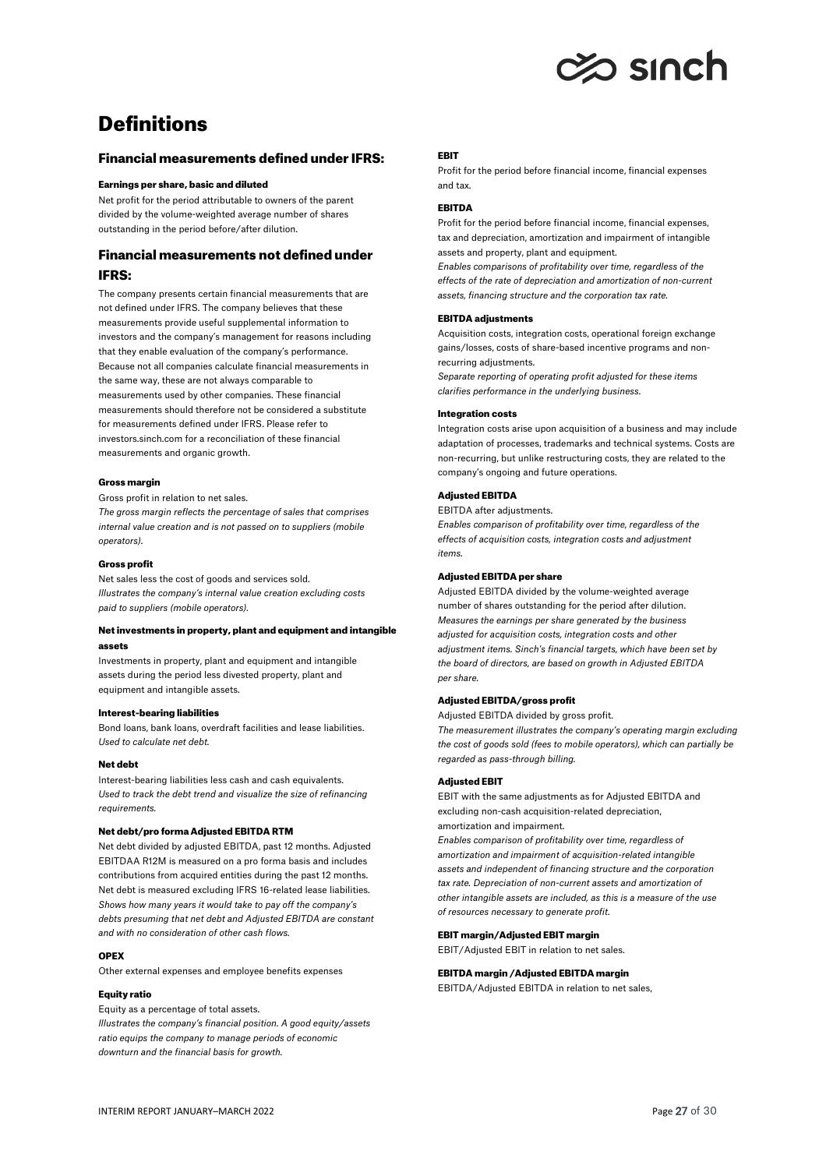

# **Definitions**

## Financial measurements defined under IFRS:

#### Earnings per share, basic and diluted

Net profit for the period attributable to owners of the parent divided by the volume-weighted average number of shares outstanding in the period before/after dilution.

# Financial measurements not defined under IFRS:

The company presents certain financial measurements that are not defined under IFRS. The company believes that these measurements provide useful supplemental information to investors and the company's management for reasons including that they enable evaluation of the company's performance. Because not all companies calculate financial measurements in the same way, these are not always comparable to measurements used by other companies. These financial measurements should therefore not be considered a substitute for measurements defined under IFRS. Please refer to investors.sinch.com for a reconciliation of these financial measurements and organic growth.

#### Gross margin

Gross profit in relation to net sales. *The gross margin reflects the percentage of sales that comprises internal value creation and is not passed on to suppliers (mobile operators).*

#### Gross profit

Net sales less the cost of goods and services sold. *Illustrates the company's internal value creation excluding costs paid to suppliers (mobile operators).*

### Net investments in property, plant and equipment and intangible assets

Investments in property, plant and equipment and intangible assets during the period less divested property, plant and equipment and intangible assets.

#### Interest-bearing liabilities

Bond loans, bank loans, overdraft facilities and lease liabilities. *Used to calculate net debt.* 

#### Net debt

Interest-bearing liabilities less cash and cash equivalents. *Used to track the debt trend and visualize the size of refinancing requirements.* 

### Net debt/pro forma Adjusted EBITDA RTM

Net debt divided by adjusted EBITDA, past 12 months. Adjusted EBITDAA R12M is measured on a pro forma basis and includes contributions from acquired entities during the past 12 months. Net debt is measured excluding IFRS 16-related lease liabilities. *Shows how many years it would take to pay off the company's debts presuming that net debt and Adjusted EBITDA are constant and with no consideration of other cash flows.* 

#### OPEX

Other external expenses and employee benefits expenses

#### Equity ratio

Equity as a percentage of total assets. *Illustrates the company's financial position. A good equity/assets ratio equips the company to manage periods of economic downturn and the financial basis for growth.* 

#### EBIT

Profit for the period before financial income, financial expenses and tax.

## EBITDA

Profit for the period before financial income, financial expenses, tax and depreciation, amortization and impairment of intangible assets and property, plant and equipment.

*Enables comparisons of profitability over time, regardless of the effects of the rate of depreciation and amortization of non-current assets, financing structure and the corporation tax rate.* 

#### EBITDA adjustments

Acquisition costs, integration costs, operational foreign exchange gains/losses, costs of share-based incentive programs and nonrecurring adjustments.

*Separate reporting of operating profit adjusted for these items clarifies performance in the underlying business.* 

#### Integration costs

Integration costs arise upon acquisition of a business and may include adaptation of processes, trademarks and technical systems. Costs are non-recurring, but unlike restructuring costs, they are related to the company's ongoing and future operations.

### Adjusted EBITDA

EBITDA after adjustments. *Enables comparison of profitability over time, regardless of the effects of acquisition costs, integration costs and adjustment items.*

#### Adjusted EBITDA per share

Adjusted EBITDA divided by the volume-weighted average number of shares outstanding for the period after dilution. *Measures the earnings per share generated by the business adjusted for acquisition costs, integration costs and other adjustment items. Sinch's financial targets, which have been set by the board of directors, are based on growth in Adjusted EBITDA per share.*

#### Adjusted EBITDA/gross profit

Adjusted EBITDA divided by gross profit.

*The measurement illustrates the company's operating margin excluding the cost of goods sold (fees to mobile operators), which can partially be regarded as pass-through billing.*

### Adjusted EBIT

EBIT with the same adjustments as for Adjusted EBITDA and excluding non-cash acquisition-related depreciation, amortization and impairment.

*Enables comparison of profitability over time, regardless of amortization and impairment of acquisition-related intangible assets and independent of financing structure and the corporation tax rate. Depreciation of non-current assets and amortization of other intangible assets are included, as this is a measure of the use of resources necessary to generate profit.*

#### EBIT margin/Adjusted EBIT margin

EBIT/Adjusted EBIT in relation to net sales.

## EBITDA margin /Adjusted EBITDA margin

EBITDA/Adjusted EBITDA in relation to net sales,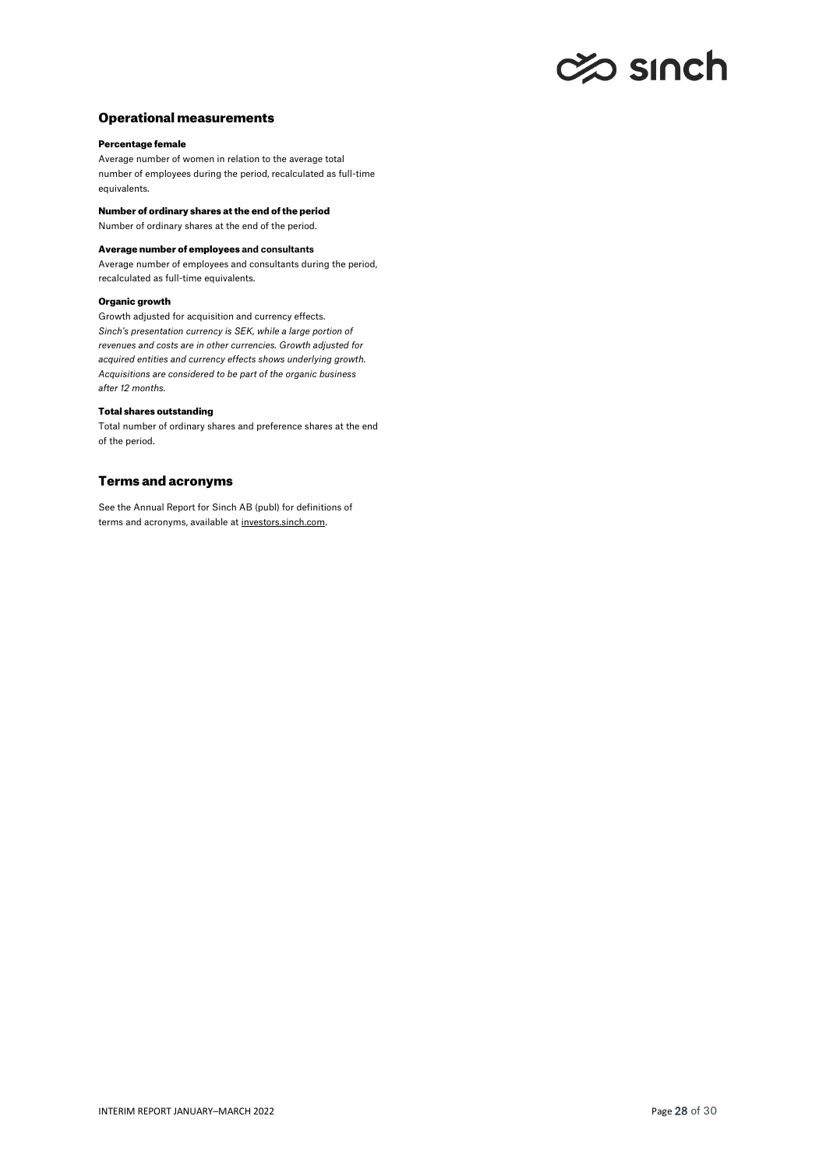# c% sınch

# Operational measurements

## Percentage female

Average number of women in relation to the average total number of employees during the period, recalculated as full-time equivalents.

Number of ordinary shares at the end of the period

Number of ordinary shares at the end of the period.

### Average number of employees **and consultants**

Average number of employees and consultants during the period, recalculated as full-time equivalents.

#### Organic growth

Growth adjusted for acquisition and currency effects. *Sinch's presentation currency is SEK, while a large portion of revenues and costs are in other currencies. Growth adjusted for acquired entities and currency effects shows underlying growth. Acquisitions are considered to be part of the organic business after 12 months.* 

#### Total shares outstanding

Total number of ordinary shares and preference shares at the end of the period.

## Terms and acronyms

See the Annual Report for Sinch AB (publ) for definitions of terms and acronyms, available a[t investors.sinch.com.](https://investors.sinch.com/reports-and-presentations)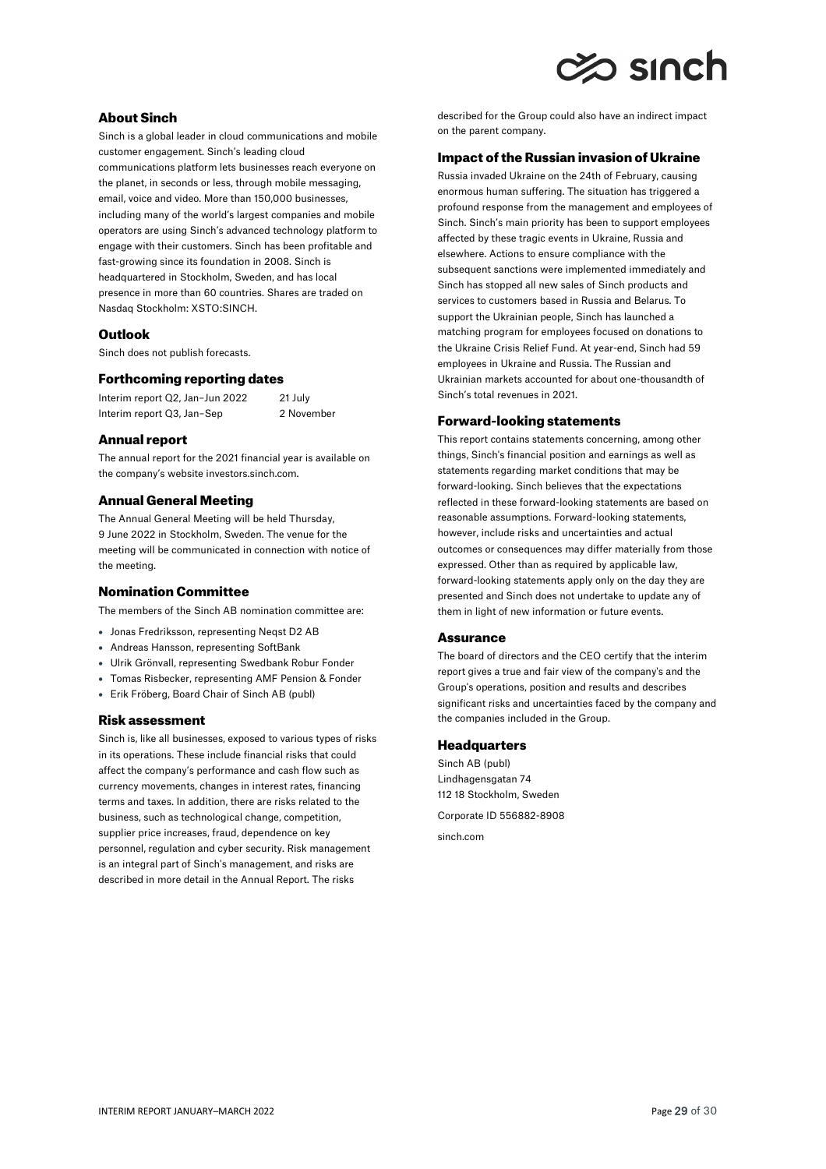# $\gg$  sinch

# About Sinch

Sinch is a global leader in cloud communications and mobile customer engagement. Sinch's leading cloud communications platform lets businesses reach everyone on the planet, in seconds or less, through mobile messaging, email, voice and video. More than 150,000 businesses, including many of the world's largest companies and mobile operators are using Sinch's advanced technology platform to engage with their customers. Sinch has been profitable and fast-growing since its foundation in 2008. Sinch is headquartered in Stockholm, Sweden, and has local presence in more than 60 countries. Shares are traded on Nasdaq Stockholm: XSTO:SINCH.

# **Outlook**

Sinch does not publish forecasts.

## Forthcoming reporting dates

Interim report Q2, Jan–Jun 2022 21 July Interim report Q3, Jan-Sep 2 November

### Annual report

The annual report for the 2021 financial year is available on the company's websit[e investors.sinch.com.](https://investors.sinch.com/)

# Annual General Meeting

The Annual General Meeting will be held Thursday, 9 June 2022 in Stockholm, Sweden. The venue for the meeting will be communicated in connection with notice of the meeting.

# Nomination Committee

The members of the Sinch AB nomination committee are:

- Jonas Fredriksson, representing Neqst D2 AB
- Andreas Hansson, representing SoftBank
- Ulrik Grönvall, representing Swedbank Robur Fonder
- Tomas Risbecker, representing AMF Pension & Fonder
- Erik Fröberg, Board Chair of Sinch AB (publ)

## Risk assessment

Sinch is, like all businesses, exposed to various types of risks in its operations. These include financial risks that could affect the company's performance and cash flow such as currency movements, changes in interest rates, financing terms and taxes. In addition, there are risks related to the business, such as technological change, competition, supplier price increases, fraud, dependence on key personnel, regulation and cyber security. Risk management is an integral part of Sinch's management, and risks are described in more detail in the Annual Report. The risks

described for the Group could also have an indirect impact on the parent company.

## Impact of the Russian invasion of Ukraine

Russia invaded Ukraine on the 24th of February, causing enormous human suffering. The situation has triggered a profound response from the management and employees of Sinch. Sinch's main priority has been to support employees affected by these tragic events in Ukraine, Russia and elsewhere. Actions to ensure compliance with the subsequent sanctions were implemented immediately and Sinch has stopped all new sales of Sinch products and services to customers based in Russia and Belarus. To support the Ukrainian people, Sinch has launched a matching program for employees focused on donations to the Ukraine Crisis Relief Fund. At year-end, Sinch had 59 employees in Ukraine and Russia. The Russian and Ukrainian markets accounted for about one-thousandth of Sinch's total revenues in 2021.

## Forward-looking statements

This report contains statements concerning, among other things, Sinch's financial position and earnings as well as statements regarding market conditions that may be forward-looking. Sinch believes that the expectations reflected in these forward-looking statements are based on reasonable assumptions. Forward-looking statements, however, include risks and uncertainties and actual outcomes or consequences may differ materially from those expressed. Other than as required by applicable law, forward-looking statements apply only on the day they are presented and Sinch does not undertake to update any of them in light of new information or future events.

#### **Assurance**

The board of directors and the CEO certify that the interim report gives a true and fair view of the company's and the Group's operations, position and results and describes significant risks and uncertainties faced by the company and the companies included in the Group.

## **Headquarters**

Sinch AB (publ) Lindhagensgatan 74 112 18 Stockholm, Sweden Corporate ID 556882-8908

[sinch.com](https://sinch.com/)